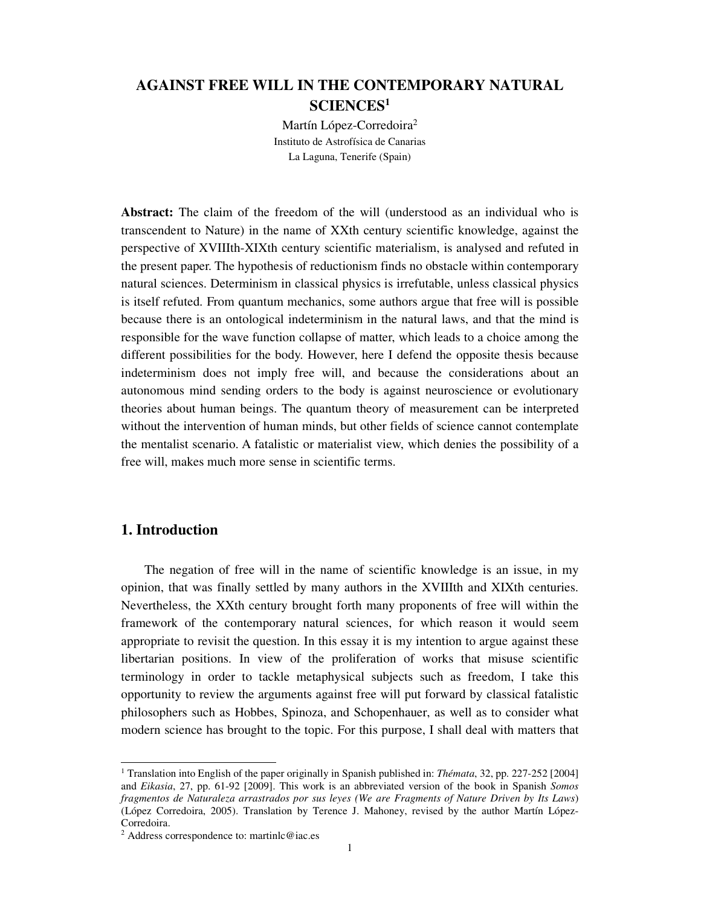# **AGAINST FREE WILL IN THE CONTEMPORARY NATURAL SCIENCES<sup>1</sup>**

Martín López-Corredoira<sup>2</sup> Instituto de Astrofísica de Canarias La Laguna, Tenerife (Spain)

**Abstract:** The claim of the freedom of the will (understood as an individual who is transcendent to Nature) in the name of XXth century scientific knowledge, against the perspective of XVIIIth-XIXth century scientific materialism, is analysed and refuted in the present paper. The hypothesis of reductionism finds no obstacle within contemporary natural sciences. Determinism in classical physics is irrefutable, unless classical physics is itself refuted. From quantum mechanics, some authors argue that free will is possible because there is an ontological indeterminism in the natural laws, and that the mind is responsible for the wave function collapse of matter, which leads to a choice among the different possibilities for the body. However, here I defend the opposite thesis because indeterminism does not imply free will, and because the considerations about an autonomous mind sending orders to the body is against neuroscience or evolutionary theories about human beings. The quantum theory of measurement can be interpreted without the intervention of human minds, but other fields of science cannot contemplate the mentalist scenario. A fatalistic or materialist view, which denies the possibility of a free will, makes much more sense in scientific terms.

## **1. Introduction**

The negation of free will in the name of scientific knowledge is an issue, in my opinion, that was finally settled by many authors in the XVIIIth and XIXth centuries. Nevertheless, the XXth century brought forth many proponents of free will within the framework of the contemporary natural sciences, for which reason it would seem appropriate to revisit the question. In this essay it is my intention to argue against these libertarian positions. In view of the proliferation of works that misuse scientific terminology in order to tackle metaphysical subjects such as freedom, I take this opportunity to review the arguments against free will put forward by classical fatalistic philosophers such as Hobbes, Spinoza, and Schopenhauer, as well as to consider what modern science has brought to the topic. For this purpose, I shall deal with matters that

 1 Translation into English of the paper originally in Spanish published in: *Thémata*, 32, pp. 227-252 [2004] and *Eikasia*, 27, pp. 61-92 [2009]. This work is an abbreviated version of the book in Spanish *Somos fragmentos de Naturaleza arrastrados por sus leyes (We are Fragments of Nature Driven by Its Laws*) (López Corredoira, 2005). Translation by Terence J. Mahoney, revised by the author Martín López-Corredoira.

<sup>2</sup> Address correspondence to: martinlc@iac.es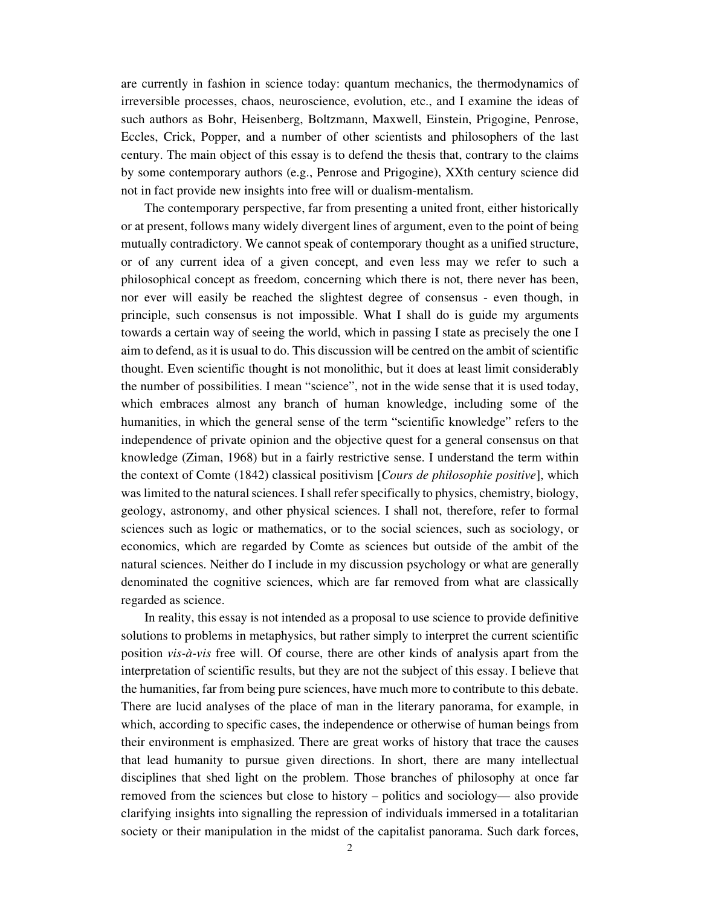are currently in fashion in science today: quantum mechanics, the thermodynamics of irreversible processes, chaos, neuroscience, evolution, etc., and I examine the ideas of such authors as Bohr, Heisenberg, Boltzmann, Maxwell, Einstein, Prigogine, Penrose, Eccles, Crick, Popper, and a number of other scientists and philosophers of the last century. The main object of this essay is to defend the thesis that, contrary to the claims by some contemporary authors (e.g., Penrose and Prigogine), XXth century science did not in fact provide new insights into free will or dualism-mentalism.

The contemporary perspective, far from presenting a united front, either historically or at present, follows many widely divergent lines of argument, even to the point of being mutually contradictory. We cannot speak of contemporary thought as a unified structure, or of any current idea of a given concept, and even less may we refer to such a philosophical concept as freedom, concerning which there is not, there never has been, nor ever will easily be reached the slightest degree of consensus - even though, in principle, such consensus is not impossible. What I shall do is guide my arguments towards a certain way of seeing the world, which in passing I state as precisely the one I aim to defend, as it is usual to do. This discussion will be centred on the ambit of scientific thought. Even scientific thought is not monolithic, but it does at least limit considerably the number of possibilities. I mean "science", not in the wide sense that it is used today, which embraces almost any branch of human knowledge, including some of the humanities, in which the general sense of the term "scientific knowledge" refers to the independence of private opinion and the objective quest for a general consensus on that knowledge (Ziman, 1968) but in a fairly restrictive sense. I understand the term within the context of Comte (1842) classical positivism [*Cours de philosophie positive*], which was limited to the natural sciences. I shall refer specifically to physics, chemistry, biology, geology, astronomy, and other physical sciences. I shall not, therefore, refer to formal sciences such as logic or mathematics, or to the social sciences, such as sociology, or economics, which are regarded by Comte as sciences but outside of the ambit of the natural sciences. Neither do I include in my discussion psychology or what are generally denominated the cognitive sciences, which are far removed from what are classically regarded as science.

In reality, this essay is not intended as a proposal to use science to provide definitive solutions to problems in metaphysics, but rather simply to interpret the current scientific position *vis-à-vis* free will. Of course, there are other kinds of analysis apart from the interpretation of scientific results, but they are not the subject of this essay. I believe that the humanities, far from being pure sciences, have much more to contribute to this debate. There are lucid analyses of the place of man in the literary panorama, for example, in which, according to specific cases, the independence or otherwise of human beings from their environment is emphasized. There are great works of history that trace the causes that lead humanity to pursue given directions. In short, there are many intellectual disciplines that shed light on the problem. Those branches of philosophy at once far removed from the sciences but close to history – politics and sociology— also provide clarifying insights into signalling the repression of individuals immersed in a totalitarian society or their manipulation in the midst of the capitalist panorama. Such dark forces,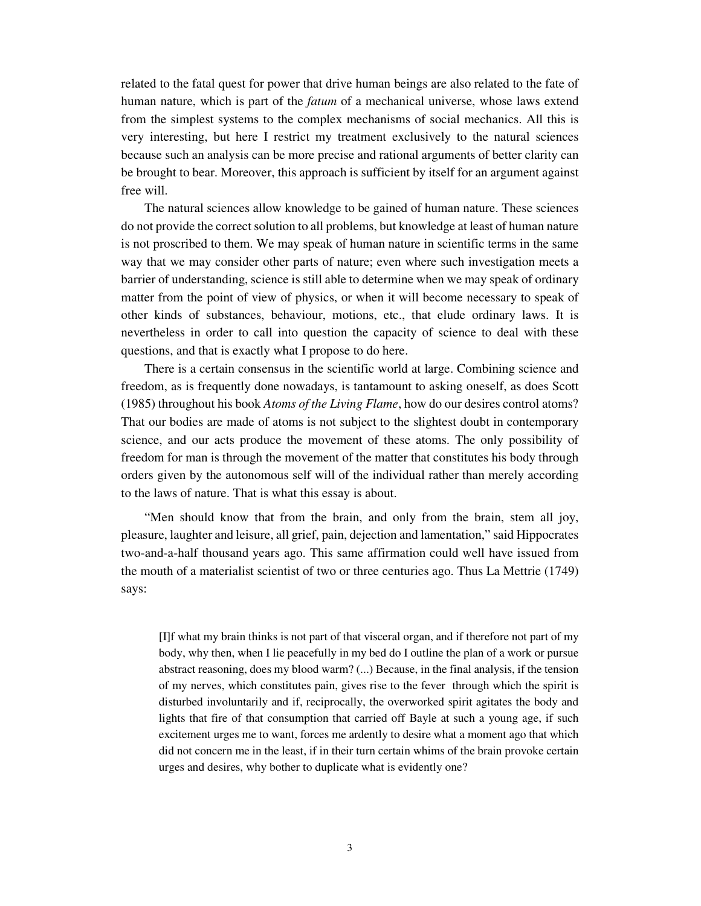related to the fatal quest for power that drive human beings are also related to the fate of human nature, which is part of the *fatum* of a mechanical universe, whose laws extend from the simplest systems to the complex mechanisms of social mechanics. All this is very interesting, but here I restrict my treatment exclusively to the natural sciences because such an analysis can be more precise and rational arguments of better clarity can be brought to bear. Moreover, this approach is sufficient by itself for an argument against free will.

The natural sciences allow knowledge to be gained of human nature. These sciences do not provide the correct solution to all problems, but knowledge at least of human nature is not proscribed to them. We may speak of human nature in scientific terms in the same way that we may consider other parts of nature; even where such investigation meets a barrier of understanding, science is still able to determine when we may speak of ordinary matter from the point of view of physics, or when it will become necessary to speak of other kinds of substances, behaviour, motions, etc., that elude ordinary laws. It is nevertheless in order to call into question the capacity of science to deal with these questions, and that is exactly what I propose to do here.

There is a certain consensus in the scientific world at large. Combining science and freedom, as is frequently done nowadays, is tantamount to asking oneself, as does Scott (1985) throughout his book *Atoms of the Living Flame*, how do our desires control atoms? That our bodies are made of atoms is not subject to the slightest doubt in contemporary science, and our acts produce the movement of these atoms. The only possibility of freedom for man is through the movement of the matter that constitutes his body through orders given by the autonomous self will of the individual rather than merely according to the laws of nature. That is what this essay is about.

"Men should know that from the brain, and only from the brain, stem all joy, pleasure, laughter and leisure, all grief, pain, dejection and lamentation," said Hippocrates two-and-a-half thousand years ago. This same affirmation could well have issued from the mouth of a materialist scientist of two or three centuries ago. Thus La Mettrie (1749) says:

[I]f what my brain thinks is not part of that visceral organ, and if therefore not part of my body, why then, when I lie peacefully in my bed do I outline the plan of a work or pursue abstract reasoning, does my blood warm? (...) Because, in the final analysis, if the tension of my nerves, which constitutes pain, gives rise to the fever through which the spirit is disturbed involuntarily and if, reciprocally, the overworked spirit agitates the body and lights that fire of that consumption that carried off Bayle at such a young age, if such excitement urges me to want, forces me ardently to desire what a moment ago that which did not concern me in the least, if in their turn certain whims of the brain provoke certain urges and desires, why bother to duplicate what is evidently one?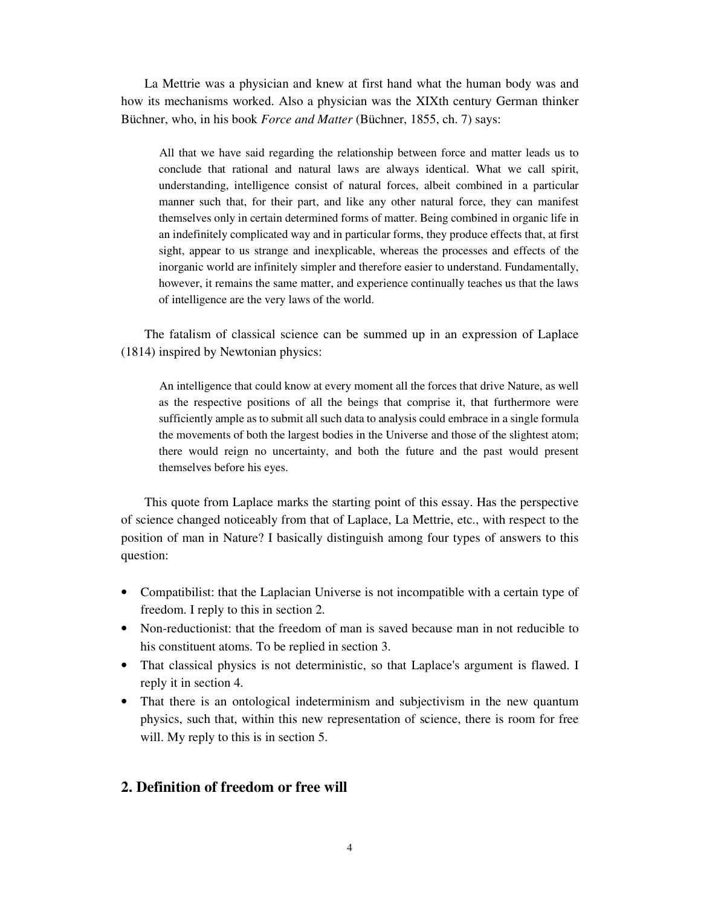La Mettrie was a physician and knew at first hand what the human body was and how its mechanisms worked. Also a physician was the XIXth century German thinker Büchner, who, in his book *Force and Matter* (Büchner, 1855, ch. 7) says:

All that we have said regarding the relationship between force and matter leads us to conclude that rational and natural laws are always identical. What we call spirit, understanding, intelligence consist of natural forces, albeit combined in a particular manner such that, for their part, and like any other natural force, they can manifest themselves only in certain determined forms of matter. Being combined in organic life in an indefinitely complicated way and in particular forms, they produce effects that, at first sight, appear to us strange and inexplicable, whereas the processes and effects of the inorganic world are infinitely simpler and therefore easier to understand. Fundamentally, however, it remains the same matter, and experience continually teaches us that the laws of intelligence are the very laws of the world.

The fatalism of classical science can be summed up in an expression of Laplace (1814) inspired by Newtonian physics:

An intelligence that could know at every moment all the forces that drive Nature, as well as the respective positions of all the beings that comprise it, that furthermore were sufficiently ample as to submit all such data to analysis could embrace in a single formula the movements of both the largest bodies in the Universe and those of the slightest atom; there would reign no uncertainty, and both the future and the past would present themselves before his eyes.

This quote from Laplace marks the starting point of this essay. Has the perspective of science changed noticeably from that of Laplace, La Mettrie, etc., with respect to the position of man in Nature? I basically distinguish among four types of answers to this question:

- Compatibilist: that the Laplacian Universe is not incompatible with a certain type of freedom. I reply to this in section 2.
- Non-reductionist: that the freedom of man is saved because man in not reducible to his constituent atoms. To be replied in section 3.
- That classical physics is not deterministic, so that Laplace's argument is flawed. I reply it in section 4.
- That there is an ontological indeterminism and subjectivism in the new quantum physics, such that, within this new representation of science, there is room for free will. My reply to this is in section 5.

# **2. Definition of freedom or free will**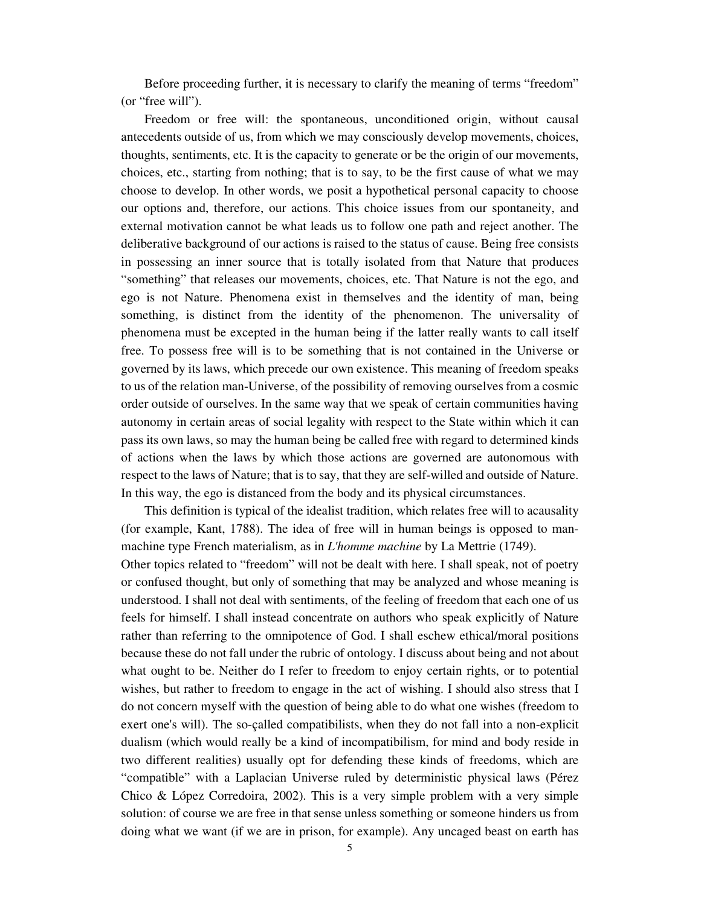Before proceeding further, it is necessary to clarify the meaning of terms "freedom" (or "free will").

Freedom or free will: the spontaneous, unconditioned origin, without causal antecedents outside of us, from which we may consciously develop movements, choices, thoughts, sentiments, etc. It is the capacity to generate or be the origin of our movements, choices, etc., starting from nothing; that is to say, to be the first cause of what we may choose to develop. In other words, we posit a hypothetical personal capacity to choose our options and, therefore, our actions. This choice issues from our spontaneity, and external motivation cannot be what leads us to follow one path and reject another. The deliberative background of our actions is raised to the status of cause. Being free consists in possessing an inner source that is totally isolated from that Nature that produces "something" that releases our movements, choices, etc. That Nature is not the ego, and ego is not Nature. Phenomena exist in themselves and the identity of man, being something, is distinct from the identity of the phenomenon. The universality of phenomena must be excepted in the human being if the latter really wants to call itself free. To possess free will is to be something that is not contained in the Universe or governed by its laws, which precede our own existence. This meaning of freedom speaks to us of the relation man-Universe, of the possibility of removing ourselves from a cosmic order outside of ourselves. In the same way that we speak of certain communities having autonomy in certain areas of social legality with respect to the State within which it can pass its own laws, so may the human being be called free with regard to determined kinds of actions when the laws by which those actions are governed are autonomous with respect to the laws of Nature; that is to say, that they are self-willed and outside of Nature. In this way, the ego is distanced from the body and its physical circumstances.

This definition is typical of the idealist tradition, which relates free will to acausality (for example, Kant, 1788). The idea of free will in human beings is opposed to manmachine type French materialism, as in *L'homme machine* by La Mettrie (1749).

Other topics related to "freedom" will not be dealt with here. I shall speak, not of poetry or confused thought, but only of something that may be analyzed and whose meaning is understood. I shall not deal with sentiments, of the feeling of freedom that each one of us feels for himself. I shall instead concentrate on authors who speak explicitly of Nature rather than referring to the omnipotence of God. I shall eschew ethical/moral positions because these do not fall under the rubric of ontology. I discuss about being and not about what ought to be. Neither do I refer to freedom to enjoy certain rights, or to potential wishes, but rather to freedom to engage in the act of wishing. I should also stress that I do not concern myself with the question of being able to do what one wishes (freedom to exert one's will). The so-çalled compatibilists, when they do not fall into a non-explicit dualism (which would really be a kind of incompatibilism, for mind and body reside in two different realities) usually opt for defending these kinds of freedoms, which are "compatible" with a Laplacian Universe ruled by deterministic physical laws (Pérez Chico & López Corredoira, 2002). This is a very simple problem with a very simple solution: of course we are free in that sense unless something or someone hinders us from doing what we want (if we are in prison, for example). Any uncaged beast on earth has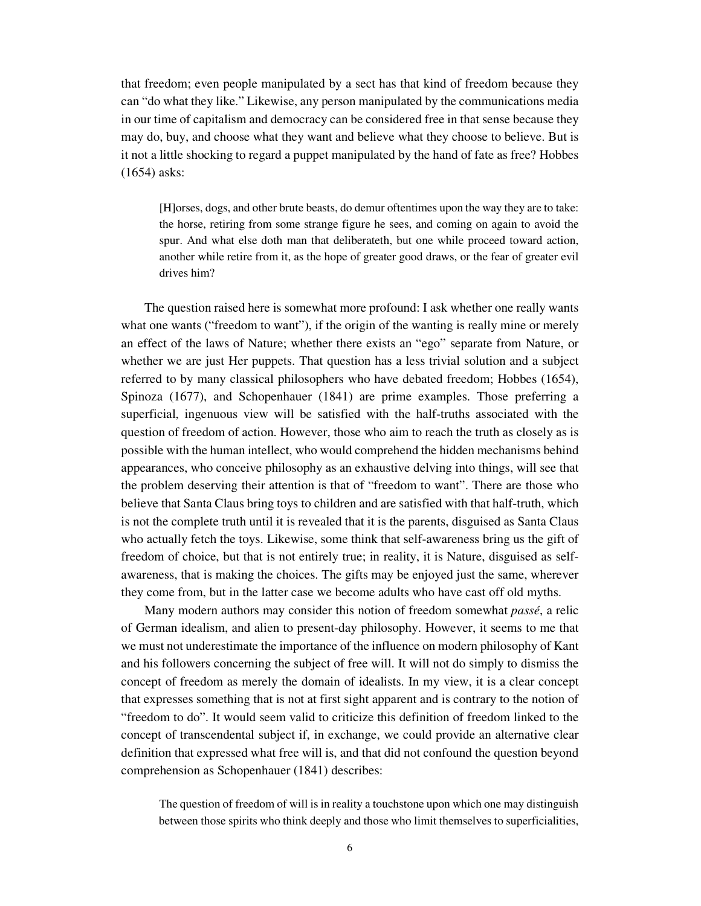that freedom; even people manipulated by a sect has that kind of freedom because they can "do what they like." Likewise, any person manipulated by the communications media in our time of capitalism and democracy can be considered free in that sense because they may do, buy, and choose what they want and believe what they choose to believe. But is it not a little shocking to regard a puppet manipulated by the hand of fate as free? Hobbes (1654) asks:

[H]orses, dogs, and other brute beasts, do demur oftentimes upon the way they are to take: the horse, retiring from some strange figure he sees, and coming on again to avoid the spur. And what else doth man that deliberateth, but one while proceed toward action, another while retire from it, as the hope of greater good draws, or the fear of greater evil drives him?

The question raised here is somewhat more profound: I ask whether one really wants what one wants ("freedom to want"), if the origin of the wanting is really mine or merely an effect of the laws of Nature; whether there exists an "ego" separate from Nature, or whether we are just Her puppets. That question has a less trivial solution and a subject referred to by many classical philosophers who have debated freedom; Hobbes (1654), Spinoza (1677), and Schopenhauer (1841) are prime examples. Those preferring a superficial, ingenuous view will be satisfied with the half-truths associated with the question of freedom of action. However, those who aim to reach the truth as closely as is possible with the human intellect, who would comprehend the hidden mechanisms behind appearances, who conceive philosophy as an exhaustive delving into things, will see that the problem deserving their attention is that of "freedom to want". There are those who believe that Santa Claus bring toys to children and are satisfied with that half-truth, which is not the complete truth until it is revealed that it is the parents, disguised as Santa Claus who actually fetch the toys. Likewise, some think that self-awareness bring us the gift of freedom of choice, but that is not entirely true; in reality, it is Nature, disguised as selfawareness, that is making the choices. The gifts may be enjoyed just the same, wherever they come from, but in the latter case we become adults who have cast off old myths.

Many modern authors may consider this notion of freedom somewhat *passé*, a relic of German idealism, and alien to present-day philosophy. However, it seems to me that we must not underestimate the importance of the influence on modern philosophy of Kant and his followers concerning the subject of free will. It will not do simply to dismiss the concept of freedom as merely the domain of idealists. In my view, it is a clear concept that expresses something that is not at first sight apparent and is contrary to the notion of "freedom to do". It would seem valid to criticize this definition of freedom linked to the concept of transcendental subject if, in exchange, we could provide an alternative clear definition that expressed what free will is, and that did not confound the question beyond comprehension as Schopenhauer (1841) describes:

The question of freedom of will is in reality a touchstone upon which one may distinguish between those spirits who think deeply and those who limit themselves to superficialities,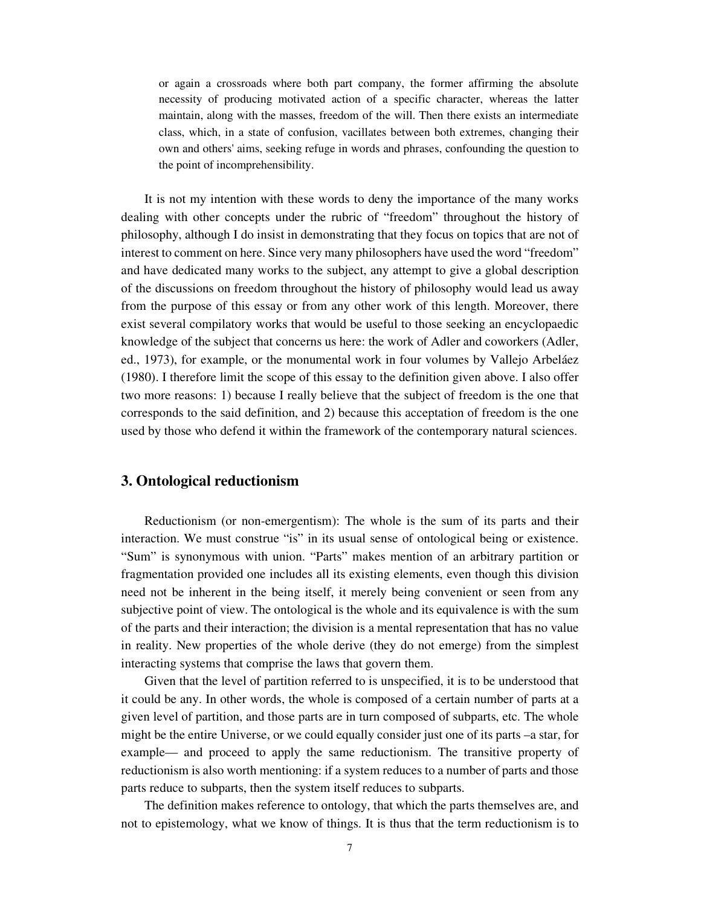or again a crossroads where both part company, the former affirming the absolute necessity of producing motivated action of a specific character, whereas the latter maintain, along with the masses, freedom of the will. Then there exists an intermediate class, which, in a state of confusion, vacillates between both extremes, changing their own and others' aims, seeking refuge in words and phrases, confounding the question to the point of incomprehensibility.

It is not my intention with these words to deny the importance of the many works dealing with other concepts under the rubric of "freedom" throughout the history of philosophy, although I do insist in demonstrating that they focus on topics that are not of interest to comment on here. Since very many philosophers have used the word "freedom" and have dedicated many works to the subject, any attempt to give a global description of the discussions on freedom throughout the history of philosophy would lead us away from the purpose of this essay or from any other work of this length. Moreover, there exist several compilatory works that would be useful to those seeking an encyclopaedic knowledge of the subject that concerns us here: the work of Adler and coworkers (Adler, ed., 1973), for example, or the monumental work in four volumes by Vallejo Arbeláez (1980). I therefore limit the scope of this essay to the definition given above. I also offer two more reasons: 1) because I really believe that the subject of freedom is the one that corresponds to the said definition, and 2) because this acceptation of freedom is the one used by those who defend it within the framework of the contemporary natural sciences.

### **3. Ontological reductionism**

Reductionism (or non-emergentism): The whole is the sum of its parts and their interaction. We must construe "is" in its usual sense of ontological being or existence. "Sum" is synonymous with union. "Parts" makes mention of an arbitrary partition or fragmentation provided one includes all its existing elements, even though this division need not be inherent in the being itself, it merely being convenient or seen from any subjective point of view. The ontological is the whole and its equivalence is with the sum of the parts and their interaction; the division is a mental representation that has no value in reality. New properties of the whole derive (they do not emerge) from the simplest interacting systems that comprise the laws that govern them.

Given that the level of partition referred to is unspecified, it is to be understood that it could be any. In other words, the whole is composed of a certain number of parts at a given level of partition, and those parts are in turn composed of subparts, etc. The whole might be the entire Universe, or we could equally consider just one of its parts –a star, for example— and proceed to apply the same reductionism. The transitive property of reductionism is also worth mentioning: if a system reduces to a number of parts and those parts reduce to subparts, then the system itself reduces to subparts.

The definition makes reference to ontology, that which the parts themselves are, and not to epistemology, what we know of things. It is thus that the term reductionism is to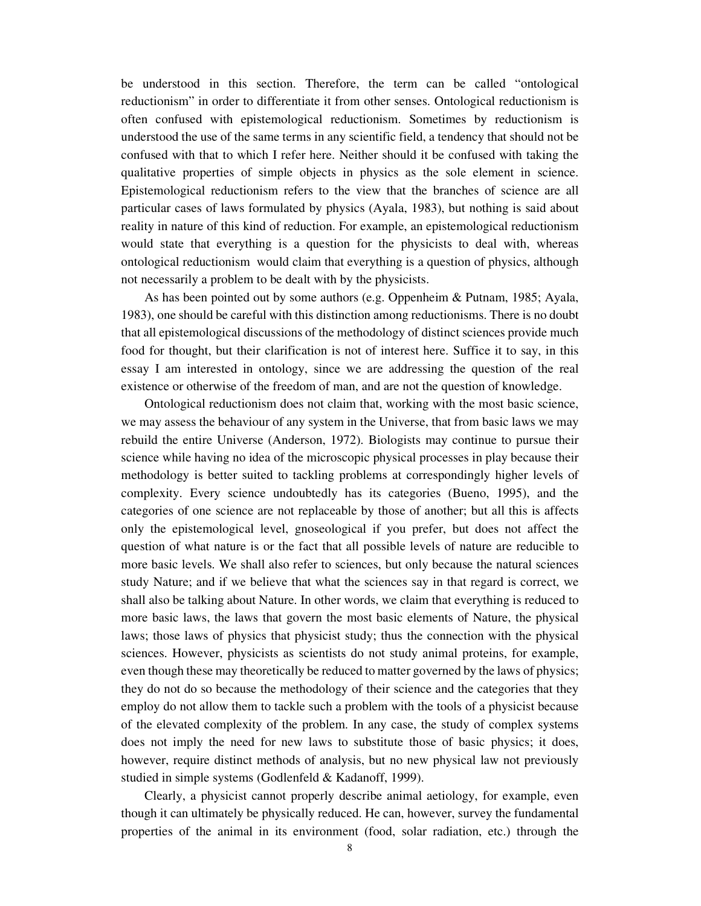be understood in this section. Therefore, the term can be called "ontological reductionism" in order to differentiate it from other senses. Ontological reductionism is often confused with epistemological reductionism. Sometimes by reductionism is understood the use of the same terms in any scientific field, a tendency that should not be confused with that to which I refer here. Neither should it be confused with taking the qualitative properties of simple objects in physics as the sole element in science. Epistemological reductionism refers to the view that the branches of science are all particular cases of laws formulated by physics (Ayala, 1983), but nothing is said about reality in nature of this kind of reduction. For example, an epistemological reductionism would state that everything is a question for the physicists to deal with, whereas ontological reductionism would claim that everything is a question of physics, although not necessarily a problem to be dealt with by the physicists.

As has been pointed out by some authors (e.g. Oppenheim & Putnam, 1985; Ayala, 1983), one should be careful with this distinction among reductionisms. There is no doubt that all epistemological discussions of the methodology of distinct sciences provide much food for thought, but their clarification is not of interest here. Suffice it to say, in this essay I am interested in ontology, since we are addressing the question of the real existence or otherwise of the freedom of man, and are not the question of knowledge.

Ontological reductionism does not claim that, working with the most basic science, we may assess the behaviour of any system in the Universe, that from basic laws we may rebuild the entire Universe (Anderson, 1972). Biologists may continue to pursue their science while having no idea of the microscopic physical processes in play because their methodology is better suited to tackling problems at correspondingly higher levels of complexity. Every science undoubtedly has its categories (Bueno, 1995), and the categories of one science are not replaceable by those of another; but all this is affects only the epistemological level, gnoseological if you prefer, but does not affect the question of what nature is or the fact that all possible levels of nature are reducible to more basic levels. We shall also refer to sciences, but only because the natural sciences study Nature; and if we believe that what the sciences say in that regard is correct, we shall also be talking about Nature. In other words, we claim that everything is reduced to more basic laws, the laws that govern the most basic elements of Nature, the physical laws; those laws of physics that physicist study; thus the connection with the physical sciences. However, physicists as scientists do not study animal proteins, for example, even though these may theoretically be reduced to matter governed by the laws of physics; they do not do so because the methodology of their science and the categories that they employ do not allow them to tackle such a problem with the tools of a physicist because of the elevated complexity of the problem. In any case, the study of complex systems does not imply the need for new laws to substitute those of basic physics; it does, however, require distinct methods of analysis, but no new physical law not previously studied in simple systems (Godlenfeld & Kadanoff, 1999).

Clearly, a physicist cannot properly describe animal aetiology, for example, even though it can ultimately be physically reduced. He can, however, survey the fundamental properties of the animal in its environment (food, solar radiation, etc.) through the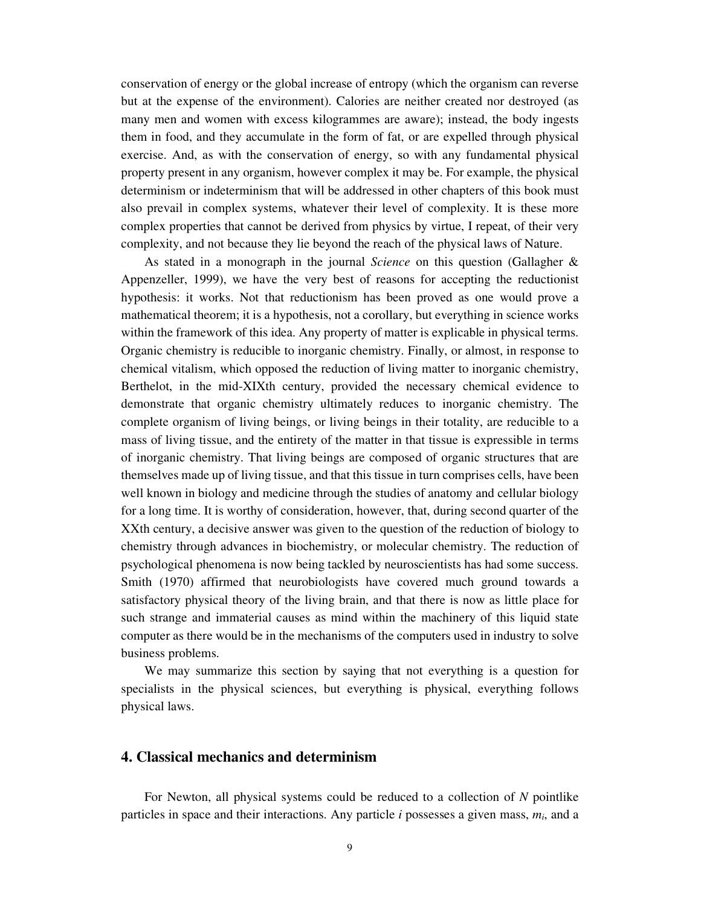conservation of energy or the global increase of entropy (which the organism can reverse but at the expense of the environment). Calories are neither created nor destroyed (as many men and women with excess kilogrammes are aware); instead, the body ingests them in food, and they accumulate in the form of fat, or are expelled through physical exercise. And, as with the conservation of energy, so with any fundamental physical property present in any organism, however complex it may be. For example, the physical determinism or indeterminism that will be addressed in other chapters of this book must also prevail in complex systems, whatever their level of complexity. It is these more complex properties that cannot be derived from physics by virtue, I repeat, of their very complexity, and not because they lie beyond the reach of the physical laws of Nature.

As stated in a monograph in the journal *Science* on this question (Gallagher & Appenzeller, 1999), we have the very best of reasons for accepting the reductionist hypothesis: it works. Not that reductionism has been proved as one would prove a mathematical theorem; it is a hypothesis, not a corollary, but everything in science works within the framework of this idea. Any property of matter is explicable in physical terms. Organic chemistry is reducible to inorganic chemistry. Finally, or almost, in response to chemical vitalism, which opposed the reduction of living matter to inorganic chemistry, Berthelot, in the mid-XIXth century, provided the necessary chemical evidence to demonstrate that organic chemistry ultimately reduces to inorganic chemistry. The complete organism of living beings, or living beings in their totality, are reducible to a mass of living tissue, and the entirety of the matter in that tissue is expressible in terms of inorganic chemistry. That living beings are composed of organic structures that are themselves made up of living tissue, and that this tissue in turn comprises cells, have been well known in biology and medicine through the studies of anatomy and cellular biology for a long time. It is worthy of consideration, however, that, during second quarter of the XXth century, a decisive answer was given to the question of the reduction of biology to chemistry through advances in biochemistry, or molecular chemistry. The reduction of psychological phenomena is now being tackled by neuroscientists has had some success. Smith (1970) affirmed that neurobiologists have covered much ground towards a satisfactory physical theory of the living brain, and that there is now as little place for such strange and immaterial causes as mind within the machinery of this liquid state computer as there would be in the mechanisms of the computers used in industry to solve business problems.

We may summarize this section by saying that not everything is a question for specialists in the physical sciences, but everything is physical, everything follows physical laws.

## **4. Classical mechanics and determinism**

For Newton, all physical systems could be reduced to a collection of *N* pointlike particles in space and their interactions. Any particle  $i$  possesses a given mass,  $m_i$ , and a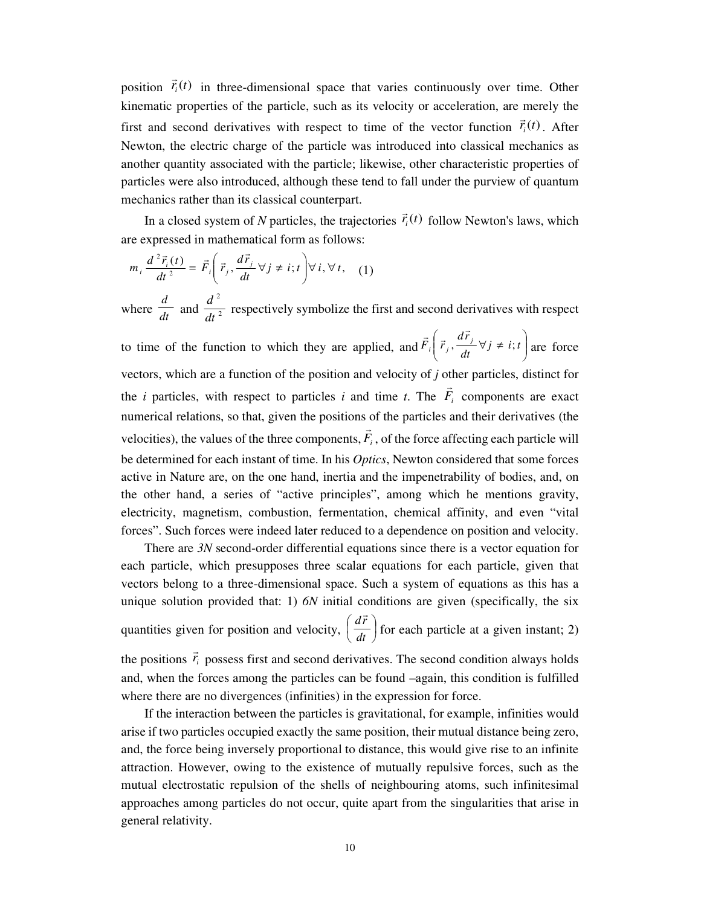position  $\vec{r}_i(t)$  $\rightarrow$  in three-dimensional space that varies continuously over time. Other kinematic properties of the particle, such as its velocity or acceleration, are merely the first and second derivatives with respect to time of the vector function  $\vec{r}_i(t)$ . After Newton, the electric charge of the particle was introduced into classical mechanics as another quantity associated with the particle; likewise, other characteristic properties of particles were also introduced, although these tend to fall under the purview of quantum mechanics rather than its classical counterpart.  $\rightarrow$ 

In a closed system of *N* particles, the trajectories  $\vec{r}_i(t)$  follow Newton's laws, which are expressed in mathematical form as follows:

$$
m_i \frac{d^2 \vec{r}_i(t)}{dt^2} = \vec{F}_i \left( \vec{r}_j, \frac{d\vec{r}_j}{dt} \forall j \neq i; t \right) \forall i, \forall t, (1)
$$
  
where  $\frac{d}{dt}$  and  $\frac{d^2}{dt^2}$  respectively symbolize the first and second derivatives with respect  
to time of the function to which they are applied, and  $\vec{F}_i \left( \vec{r}_j, \frac{d\vec{r}_j}{dt} \forall j \neq i; t \right)$  are force  
vectors, which are a function of the position and velocity of *j* other particles, distinct for  
the *i* particles, with respect to particles *i* and time *t*. The  $\vec{F}_i$  components are exact  
numerical relations, so that, given the positions of the particles and their derivatives (the  
velocities), the values of the three components,  $\vec{F}_i$ , of the force affecting each particle will  
be determined for each instant of time. In his *Optics*, Newton considered that some forces  
active in Nature are, on the one hand, inertia and the impererability of bodies, and, on  
the other hand, a series of "active principles", among which he mentions gravity,  
electricity, magnetism, combustion, fermentation, chemical affinity, and even "vital  
forces". Such forces were indeed later reduced to a dependence on position and velocity.

There are *3N* second-order differential equations since there is a vector equation for each particle, which presupposes three scalar equations for each particle, given that vectors belong to a three-dimensional space. Such a system of equations as this has a unique solution provided that: 1) *6N* initial conditions are given (specifically, the six

quantities given for position and velocity,  $\left(\frac{dr}{dt}\right)$  $\left(\frac{d\vec{r}}{dt}\right)$ l ſ *dt dr* r for each particle at a given instant; 2)  $\rightarrow$ 

the positions  $\vec{r}_i$  possess first and second derivatives. The second condition always holds and, when the forces among the particles can be found –again, this condition is fulfilled where there are no divergences (infinities) in the expression for force.

If the interaction between the particles is gravitational, for example, infinities would arise if two particles occupied exactly the same position, their mutual distance being zero, and, the force being inversely proportional to distance, this would give rise to an infinite attraction. However, owing to the existence of mutually repulsive forces, such as the mutual electrostatic repulsion of the shells of neighbouring atoms, such infinitesimal approaches among particles do not occur, quite apart from the singularities that arise in general relativity.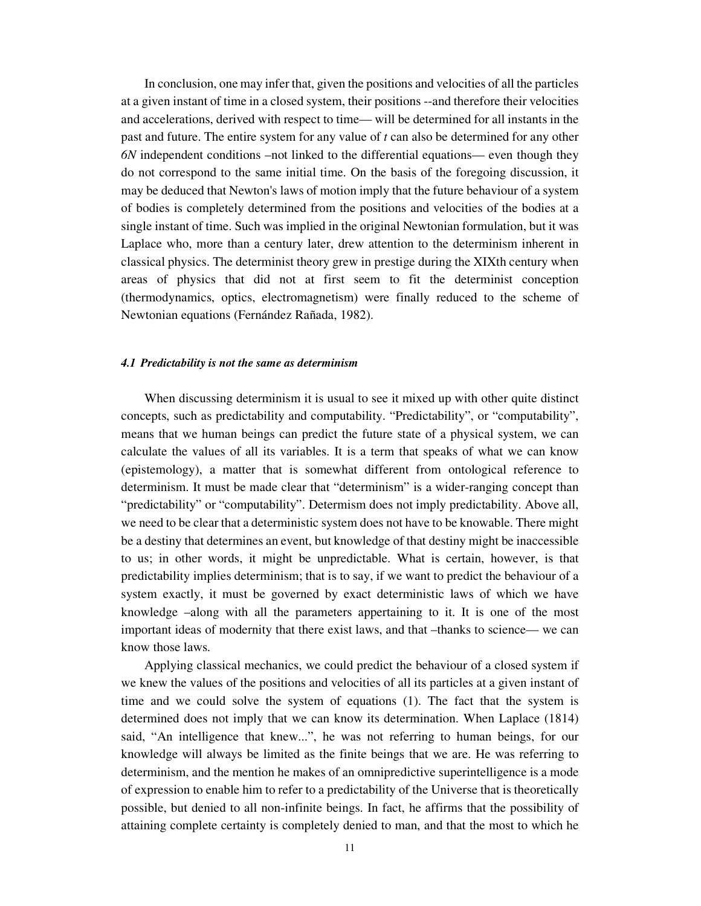In conclusion, one may infer that, given the positions and velocities of all the particles at a given instant of time in a closed system, their positions --and therefore their velocities and accelerations, derived with respect to time— will be determined for all instants in the past and future. The entire system for any value of *t* can also be determined for any other *6N* independent conditions –not linked to the differential equations— even though they do not correspond to the same initial time. On the basis of the foregoing discussion, it may be deduced that Newton's laws of motion imply that the future behaviour of a system of bodies is completely determined from the positions and velocities of the bodies at a single instant of time. Such was implied in the original Newtonian formulation, but it was Laplace who, more than a century later, drew attention to the determinism inherent in classical physics. The determinist theory grew in prestige during the XIXth century when areas of physics that did not at first seem to fit the determinist conception (thermodynamics, optics, electromagnetism) were finally reduced to the scheme of Newtonian equations (Fernández Rañada, 1982).

#### *4.1 Predictability is not the same as determinism*

When discussing determinism it is usual to see it mixed up with other quite distinct concepts, such as predictability and computability. "Predictability", or "computability", means that we human beings can predict the future state of a physical system, we can calculate the values of all its variables. It is a term that speaks of what we can know (epistemology), a matter that is somewhat different from ontological reference to determinism. It must be made clear that "determinism" is a wider-ranging concept than "predictability" or "computability". Determism does not imply predictability. Above all, we need to be clear that a deterministic system does not have to be knowable. There might be a destiny that determines an event, but knowledge of that destiny might be inaccessible to us; in other words, it might be unpredictable. What is certain, however, is that predictability implies determinism; that is to say, if we want to predict the behaviour of a system exactly, it must be governed by exact deterministic laws of which we have knowledge –along with all the parameters appertaining to it. It is one of the most important ideas of modernity that there exist laws, and that –thanks to science— we can know those laws.

Applying classical mechanics, we could predict the behaviour of a closed system if we knew the values of the positions and velocities of all its particles at a given instant of time and we could solve the system of equations (1). The fact that the system is determined does not imply that we can know its determination. When Laplace (1814) said, "An intelligence that knew...", he was not referring to human beings, for our knowledge will always be limited as the finite beings that we are. He was referring to determinism, and the mention he makes of an omnipredictive superintelligence is a mode of expression to enable him to refer to a predictability of the Universe that is theoretically possible, but denied to all non-infinite beings. In fact, he affirms that the possibility of attaining complete certainty is completely denied to man, and that the most to which he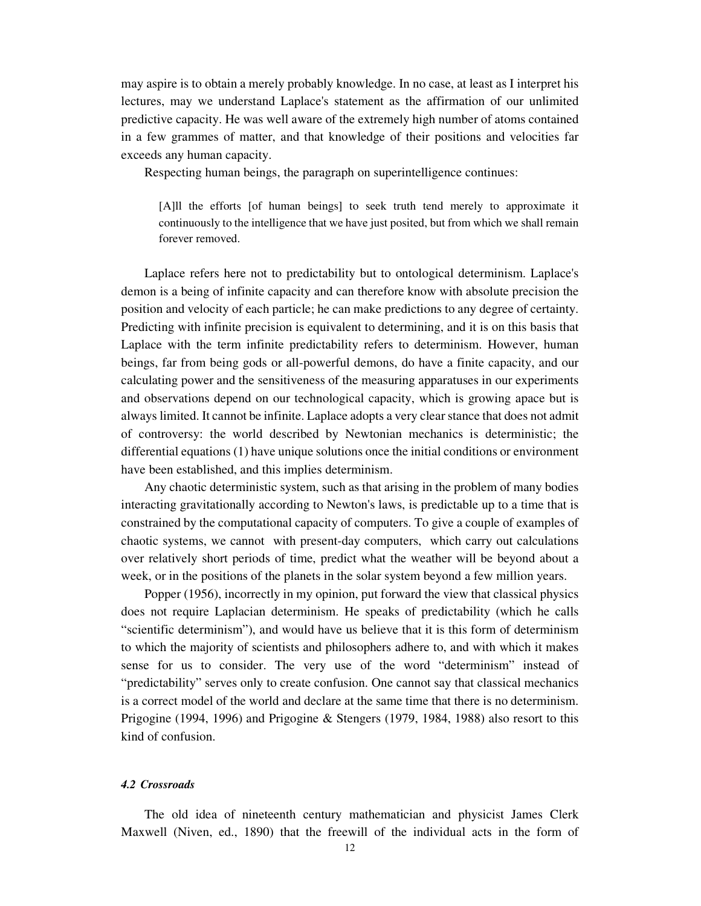may aspire is to obtain a merely probably knowledge. In no case, at least as I interpret his lectures, may we understand Laplace's statement as the affirmation of our unlimited predictive capacity. He was well aware of the extremely high number of atoms contained in a few grammes of matter, and that knowledge of their positions and velocities far exceeds any human capacity.

Respecting human beings, the paragraph on superintelligence continues:

[A]ll the efforts [of human beings] to seek truth tend merely to approximate it continuously to the intelligence that we have just posited, but from which we shall remain forever removed.

Laplace refers here not to predictability but to ontological determinism. Laplace's demon is a being of infinite capacity and can therefore know with absolute precision the position and velocity of each particle; he can make predictions to any degree of certainty. Predicting with infinite precision is equivalent to determining, and it is on this basis that Laplace with the term infinite predictability refers to determinism. However, human beings, far from being gods or all-powerful demons, do have a finite capacity, and our calculating power and the sensitiveness of the measuring apparatuses in our experiments and observations depend on our technological capacity, which is growing apace but is always limited. It cannot be infinite. Laplace adopts a very clear stance that does not admit of controversy: the world described by Newtonian mechanics is deterministic; the differential equations (1) have unique solutions once the initial conditions or environment have been established, and this implies determinism.

Any chaotic deterministic system, such as that arising in the problem of many bodies interacting gravitationally according to Newton's laws, is predictable up to a time that is constrained by the computational capacity of computers. To give a couple of examples of chaotic systems, we cannot with present-day computers, which carry out calculations over relatively short periods of time, predict what the weather will be beyond about a week, or in the positions of the planets in the solar system beyond a few million years.

Popper (1956), incorrectly in my opinion, put forward the view that classical physics does not require Laplacian determinism. He speaks of predictability (which he calls "scientific determinism"), and would have us believe that it is this form of determinism to which the majority of scientists and philosophers adhere to, and with which it makes sense for us to consider. The very use of the word "determinism" instead of "predictability" serves only to create confusion. One cannot say that classical mechanics is a correct model of the world and declare at the same time that there is no determinism. Prigogine (1994, 1996) and Prigogine & Stengers (1979, 1984, 1988) also resort to this kind of confusion.

#### *4.2 Crossroads*

The old idea of nineteenth century mathematician and physicist James Clerk Maxwell (Niven, ed., 1890) that the freewill of the individual acts in the form of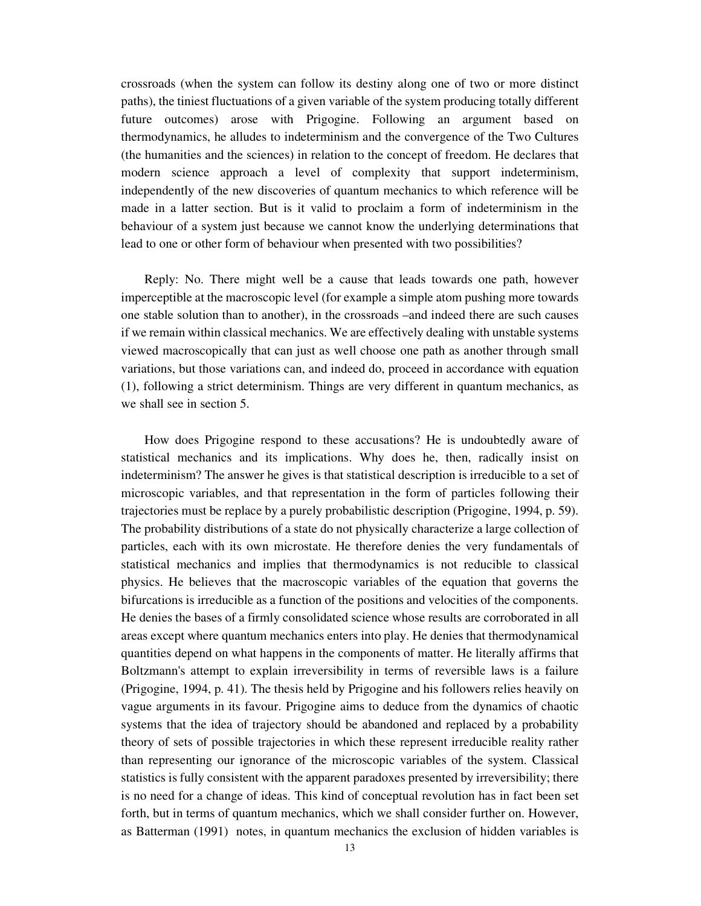crossroads (when the system can follow its destiny along one of two or more distinct paths), the tiniest fluctuations of a given variable of the system producing totally different future outcomes) arose with Prigogine. Following an argument based on thermodynamics, he alludes to indeterminism and the convergence of the Two Cultures (the humanities and the sciences) in relation to the concept of freedom. He declares that modern science approach a level of complexity that support indeterminism, independently of the new discoveries of quantum mechanics to which reference will be made in a latter section. But is it valid to proclaim a form of indeterminism in the behaviour of a system just because we cannot know the underlying determinations that lead to one or other form of behaviour when presented with two possibilities?

Reply: No. There might well be a cause that leads towards one path, however imperceptible at the macroscopic level (for example a simple atom pushing more towards one stable solution than to another), in the crossroads –and indeed there are such causes if we remain within classical mechanics. We are effectively dealing with unstable systems viewed macroscopically that can just as well choose one path as another through small variations, but those variations can, and indeed do, proceed in accordance with equation (1), following a strict determinism. Things are very different in quantum mechanics, as we shall see in section 5.

How does Prigogine respond to these accusations? He is undoubtedly aware of statistical mechanics and its implications. Why does he, then, radically insist on indeterminism? The answer he gives is that statistical description is irreducible to a set of microscopic variables, and that representation in the form of particles following their trajectories must be replace by a purely probabilistic description (Prigogine, 1994, p. 59). The probability distributions of a state do not physically characterize a large collection of particles, each with its own microstate. He therefore denies the very fundamentals of statistical mechanics and implies that thermodynamics is not reducible to classical physics. He believes that the macroscopic variables of the equation that governs the bifurcations is irreducible as a function of the positions and velocities of the components. He denies the bases of a firmly consolidated science whose results are corroborated in all areas except where quantum mechanics enters into play. He denies that thermodynamical quantities depend on what happens in the components of matter. He literally affirms that Boltzmann's attempt to explain irreversibility in terms of reversible laws is a failure (Prigogine, 1994, p. 41). The thesis held by Prigogine and his followers relies heavily on vague arguments in its favour. Prigogine aims to deduce from the dynamics of chaotic systems that the idea of trajectory should be abandoned and replaced by a probability theory of sets of possible trajectories in which these represent irreducible reality rather than representing our ignorance of the microscopic variables of the system. Classical statistics is fully consistent with the apparent paradoxes presented by irreversibility; there is no need for a change of ideas. This kind of conceptual revolution has in fact been set forth, but in terms of quantum mechanics, which we shall consider further on. However, as Batterman (1991) notes, in quantum mechanics the exclusion of hidden variables is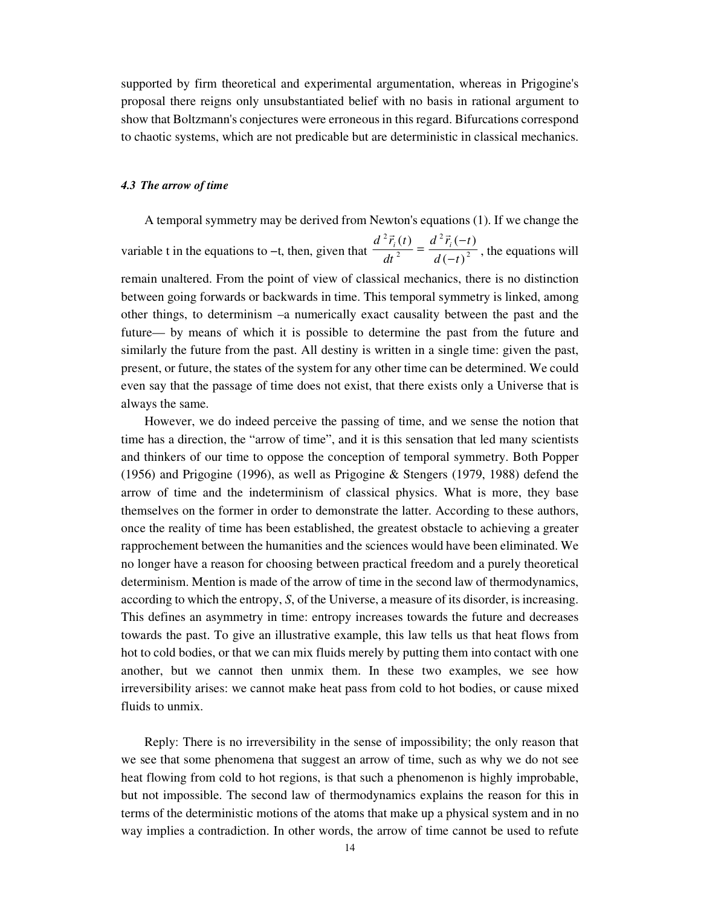supported by firm theoretical and experimental argumentation, whereas in Prigogine's proposal there reigns only unsubstantiated belief with no basis in rational argument to show that Boltzmann's conjectures were erroneous in this regard. Bifurcations correspond to chaotic systems, which are not predicable but are deterministic in classical mechanics.

### *4.3 The arrow of time*

A temporal symmetry may be derived from Newton's equations (1). If we change the

variable t in the equations to –t, then, given that  $\frac{1}{2}$  =  $\frac{1}{2}$ 2 2 2  $(-t)$  $(t)$   $d^{2}\vec{r}_{i}(-t)$  $d(-t)$  $d^2\vec{r}$ <sub>*i*</sub> $(-t$ *dt*  $d^2\vec{r}_i(t) = d^2\vec{r}_i$ −  $=\frac{d^2 \vec{r}_i(-)}{d\vec{r}_i(-)}$  $\frac{1}{\sqrt{2}}$ , the equations will remain unaltered. From the point of view of classical mechanics, there is no distinction between going forwards or backwards in time. This temporal symmetry is linked, among other things, to determinism –a numerically exact causality between the past and the future— by means of which it is possible to determine the past from the future and similarly the future from the past. All destiny is written in a single time: given the past, present, or future, the states of the system for any other time can be determined. We could even say that the passage of time does not exist, that there exists only a Universe that is always the same.

However, we do indeed perceive the passing of time, and we sense the notion that time has a direction, the "arrow of time", and it is this sensation that led many scientists and thinkers of our time to oppose the conception of temporal symmetry. Both Popper (1956) and Prigogine (1996), as well as Prigogine & Stengers (1979, 1988) defend the arrow of time and the indeterminism of classical physics. What is more, they base themselves on the former in order to demonstrate the latter. According to these authors, once the reality of time has been established, the greatest obstacle to achieving a greater rapprochement between the humanities and the sciences would have been eliminated. We no longer have a reason for choosing between practical freedom and a purely theoretical determinism. Mention is made of the arrow of time in the second law of thermodynamics, according to which the entropy, *S*, of the Universe, a measure of its disorder, is increasing. This defines an asymmetry in time: entropy increases towards the future and decreases towards the past. To give an illustrative example, this law tells us that heat flows from hot to cold bodies, or that we can mix fluids merely by putting them into contact with one another, but we cannot then unmix them. In these two examples, we see how irreversibility arises: we cannot make heat pass from cold to hot bodies, or cause mixed fluids to unmix.

Reply: There is no irreversibility in the sense of impossibility; the only reason that we see that some phenomena that suggest an arrow of time, such as why we do not see heat flowing from cold to hot regions, is that such a phenomenon is highly improbable, but not impossible. The second law of thermodynamics explains the reason for this in terms of the deterministic motions of the atoms that make up a physical system and in no way implies a contradiction. In other words, the arrow of time cannot be used to refute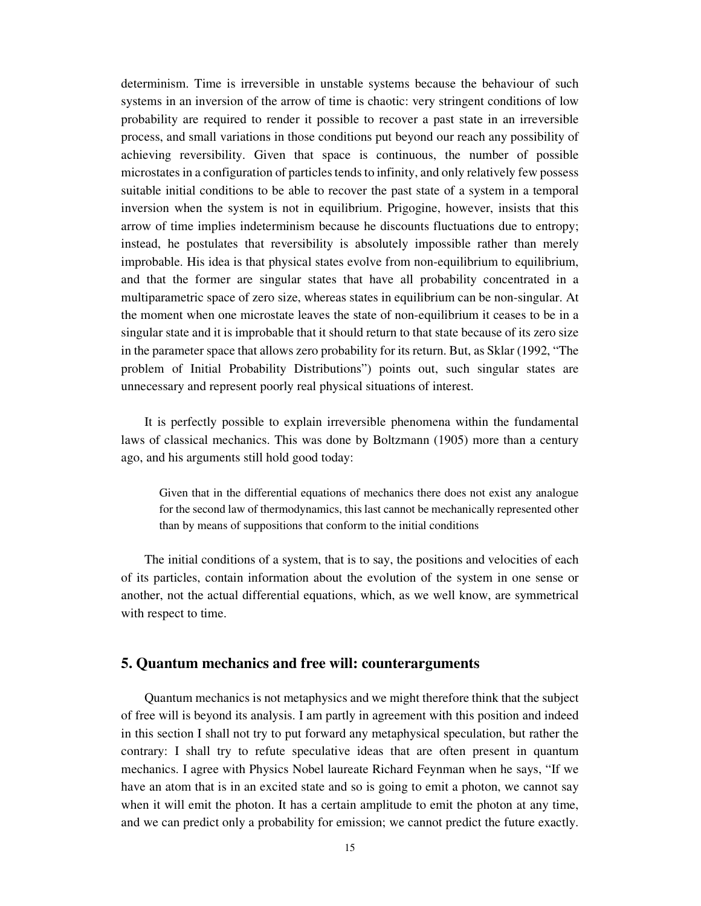determinism. Time is irreversible in unstable systems because the behaviour of such systems in an inversion of the arrow of time is chaotic: very stringent conditions of low probability are required to render it possible to recover a past state in an irreversible process, and small variations in those conditions put beyond our reach any possibility of achieving reversibility. Given that space is continuous, the number of possible microstates in a configuration of particles tends to infinity, and only relatively few possess suitable initial conditions to be able to recover the past state of a system in a temporal inversion when the system is not in equilibrium. Prigogine, however, insists that this arrow of time implies indeterminism because he discounts fluctuations due to entropy; instead, he postulates that reversibility is absolutely impossible rather than merely improbable. His idea is that physical states evolve from non-equilibrium to equilibrium, and that the former are singular states that have all probability concentrated in a multiparametric space of zero size, whereas states in equilibrium can be non-singular. At the moment when one microstate leaves the state of non-equilibrium it ceases to be in a singular state and it is improbable that it should return to that state because of its zero size in the parameter space that allows zero probability for its return. But, as Sklar (1992, "The problem of Initial Probability Distributions") points out, such singular states are unnecessary and represent poorly real physical situations of interest.

It is perfectly possible to explain irreversible phenomena within the fundamental laws of classical mechanics. This was done by Boltzmann (1905) more than a century ago, and his arguments still hold good today:

Given that in the differential equations of mechanics there does not exist any analogue for the second law of thermodynamics, this last cannot be mechanically represented other than by means of suppositions that conform to the initial conditions

The initial conditions of a system, that is to say, the positions and velocities of each of its particles, contain information about the evolution of the system in one sense or another, not the actual differential equations, which, as we well know, are symmetrical with respect to time.

### **5. Quantum mechanics and free will: counterarguments**

Quantum mechanics is not metaphysics and we might therefore think that the subject of free will is beyond its analysis. I am partly in agreement with this position and indeed in this section I shall not try to put forward any metaphysical speculation, but rather the contrary: I shall try to refute speculative ideas that are often present in quantum mechanics. I agree with Physics Nobel laureate Richard Feynman when he says, "If we have an atom that is in an excited state and so is going to emit a photon, we cannot say when it will emit the photon. It has a certain amplitude to emit the photon at any time, and we can predict only a probability for emission; we cannot predict the future exactly.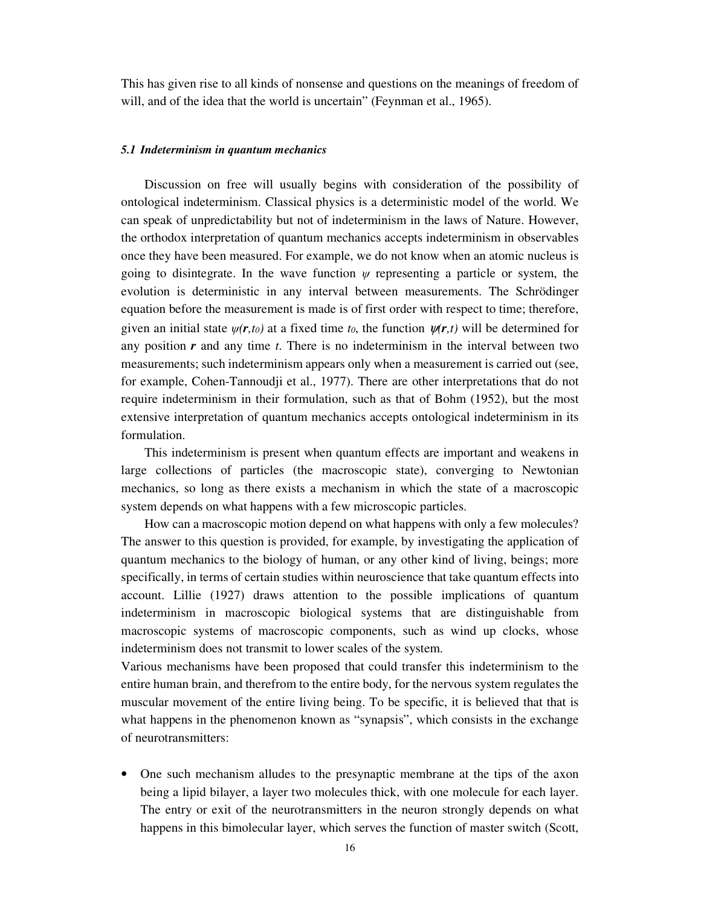This has given rise to all kinds of nonsense and questions on the meanings of freedom of will, and of the idea that the world is uncertain" (Feynman et al., 1965).

### *5.1 Indeterminism in quantum mechanics*

Discussion on free will usually begins with consideration of the possibility of ontological indeterminism. Classical physics is a deterministic model of the world. We can speak of unpredictability but not of indeterminism in the laws of Nature. However, the orthodox interpretation of quantum mechanics accepts indeterminism in observables once they have been measured. For example, we do not know when an atomic nucleus is going to disintegrate. In the wave function  $\psi$  representing a particle or system, the evolution is deterministic in any interval between measurements. The Schrödinger equation before the measurement is made is of first order with respect to time; therefore, given an initial state  $\psi(r,t_0)$  at a fixed time  $t_0$ , the function  $\psi(r,t)$  will be determined for any position *r* and any time *t*. There is no indeterminism in the interval between two measurements; such indeterminism appears only when a measurement is carried out (see, for example, Cohen-Tannoudji et al., 1977). There are other interpretations that do not require indeterminism in their formulation, such as that of Bohm (1952), but the most extensive interpretation of quantum mechanics accepts ontological indeterminism in its formulation.

This indeterminism is present when quantum effects are important and weakens in large collections of particles (the macroscopic state), converging to Newtonian mechanics, so long as there exists a mechanism in which the state of a macroscopic system depends on what happens with a few microscopic particles.

How can a macroscopic motion depend on what happens with only a few molecules? The answer to this question is provided, for example, by investigating the application of quantum mechanics to the biology of human, or any other kind of living, beings; more specifically, in terms of certain studies within neuroscience that take quantum effects into account. Lillie (1927) draws attention to the possible implications of quantum indeterminism in macroscopic biological systems that are distinguishable from macroscopic systems of macroscopic components, such as wind up clocks, whose indeterminism does not transmit to lower scales of the system.

Various mechanisms have been proposed that could transfer this indeterminism to the entire human brain, and therefrom to the entire body, for the nervous system regulates the muscular movement of the entire living being. To be specific, it is believed that that is what happens in the phenomenon known as "synapsis", which consists in the exchange of neurotransmitters:

• One such mechanism alludes to the presynaptic membrane at the tips of the axon being a lipid bilayer, a layer two molecules thick, with one molecule for each layer. The entry or exit of the neurotransmitters in the neuron strongly depends on what happens in this bimolecular layer, which serves the function of master switch (Scott,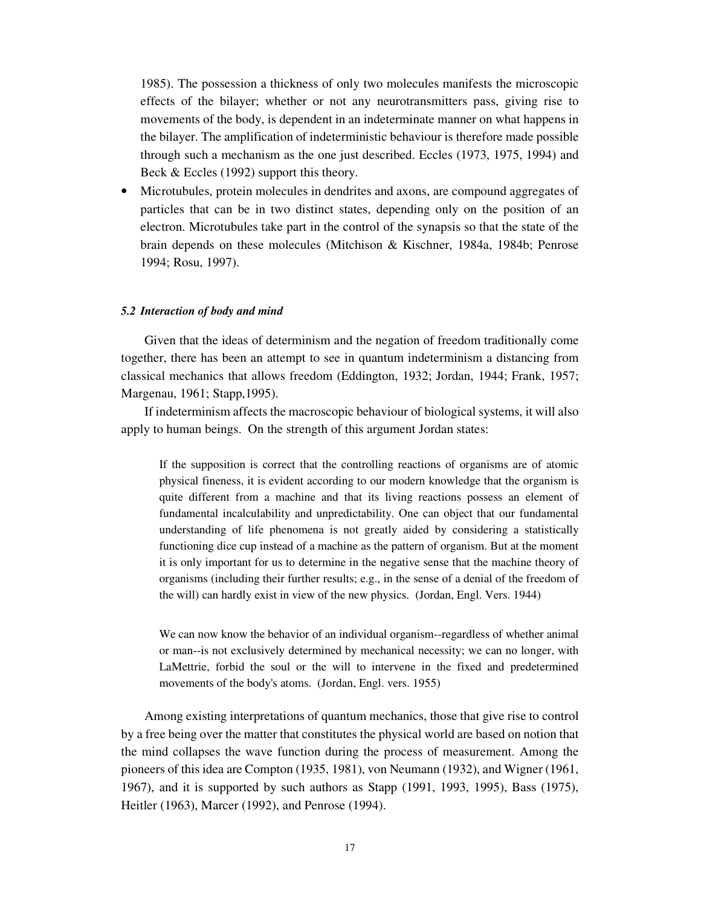1985). The possession a thickness of only two molecules manifests the microscopic effects of the bilayer; whether or not any neurotransmitters pass, giving rise to movements of the body, is dependent in an indeterminate manner on what happens in the bilayer. The amplification of indeterministic behaviour is therefore made possible through such a mechanism as the one just described. Eccles (1973, 1975, 1994) and Beck & Eccles (1992) support this theory.

• Microtubules, protein molecules in dendrites and axons, are compound aggregates of particles that can be in two distinct states, depending only on the position of an electron. Microtubules take part in the control of the synapsis so that the state of the brain depends on these molecules (Mitchison & Kischner, 1984a, 1984b; Penrose 1994; Rosu, 1997).

#### *5.2 Interaction of body and mind*

Given that the ideas of determinism and the negation of freedom traditionally come together, there has been an attempt to see in quantum indeterminism a distancing from classical mechanics that allows freedom (Eddington, 1932; Jordan, 1944; Frank, 1957; Margenau, 1961; Stapp,1995).

If indeterminism affects the macroscopic behaviour of biological systems, it will also apply to human beings. On the strength of this argument Jordan states:

If the supposition is correct that the controlling reactions of organisms are of atomic physical fineness, it is evident according to our modern knowledge that the organism is quite different from a machine and that its living reactions possess an element of fundamental incalculability and unpredictability. One can object that our fundamental understanding of life phenomena is not greatly aided by considering a statistically functioning dice cup instead of a machine as the pattern of organism. But at the moment it is only important for us to determine in the negative sense that the machine theory of organisms (including their further results; e.g., in the sense of a denial of the freedom of the will) can hardly exist in view of the new physics. (Jordan, Engl. Vers. 1944)

We can now know the behavior of an individual organism--regardless of whether animal or man--is not exclusively determined by mechanical necessity; we can no longer, with LaMettrie, forbid the soul or the will to intervene in the fixed and predetermined movements of the body's atoms. (Jordan, Engl. vers. 1955)

Among existing interpretations of quantum mechanics, those that give rise to control by a free being over the matter that constitutes the physical world are based on notion that the mind collapses the wave function during the process of measurement. Among the pioneers of this idea are Compton (1935, 1981), von Neumann (1932), and Wigner (1961, 1967), and it is supported by such authors as Stapp (1991, 1993, 1995), Bass (1975), Heitler (1963), Marcer (1992), and Penrose (1994).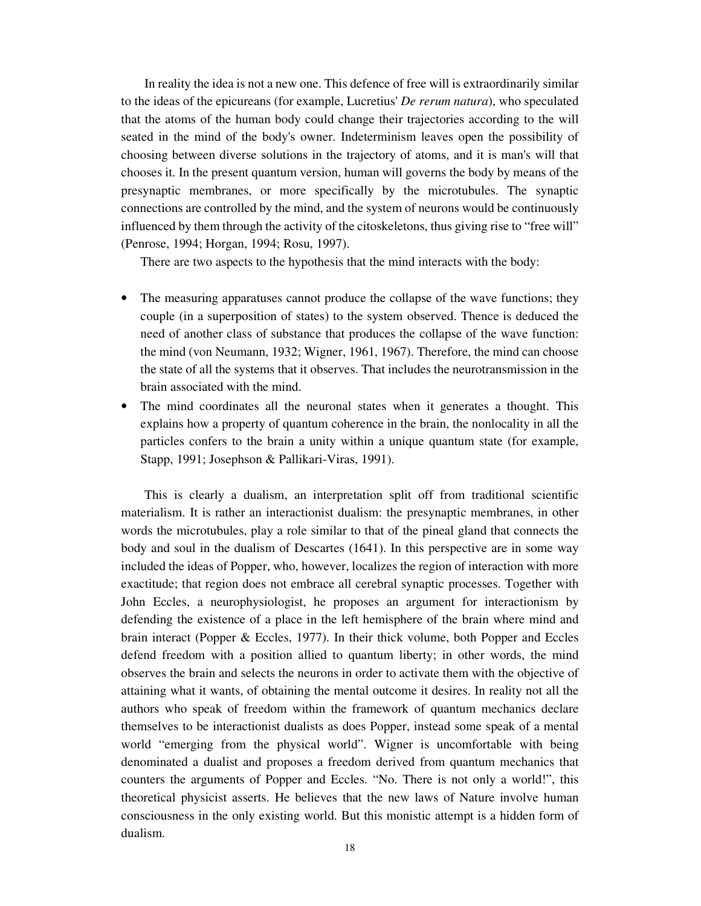In reality the idea is not a new one. This defence of free will is extraordinarily similar to the ideas of the epicureans (for example, Lucretius' *De rerum natura*), who speculated that the atoms of the human body could change their trajectories according to the will seated in the mind of the body's owner. Indeterminism leaves open the possibility of choosing between diverse solutions in the trajectory of atoms, and it is man's will that chooses it. In the present quantum version, human will governs the body by means of the presynaptic membranes, or more specifically by the microtubules. The synaptic connections are controlled by the mind, and the system of neurons would be continuously influenced by them through the activity of the citoskeletons, thus giving rise to "free will" (Penrose, 1994; Horgan, 1994; Rosu, 1997).

There are two aspects to the hypothesis that the mind interacts with the body:

- The measuring apparatuses cannot produce the collapse of the wave functions; they couple (in a superposition of states) to the system observed. Thence is deduced the need of another class of substance that produces the collapse of the wave function: the mind (von Neumann, 1932; Wigner, 1961, 1967). Therefore, the mind can choose the state of all the systems that it observes. That includes the neurotransmission in the brain associated with the mind.
- The mind coordinates all the neuronal states when it generates a thought. This explains how a property of quantum coherence in the brain, the nonlocality in all the particles confers to the brain a unity within a unique quantum state (for example, Stapp, 1991; Josephson & Pallikari-Viras, 1991).

This is clearly a dualism, an interpretation split off from traditional scientific materialism. It is rather an interactionist dualism: the presynaptic membranes, in other words the microtubules, play a role similar to that of the pineal gland that connects the body and soul in the dualism of Descartes (1641). In this perspective are in some way included the ideas of Popper, who, however, localizes the region of interaction with more exactitude; that region does not embrace all cerebral synaptic processes. Together with John Eccles, a neurophysiologist, he proposes an argument for interactionism by defending the existence of a place in the left hemisphere of the brain where mind and brain interact (Popper & Eccles, 1977). In their thick volume, both Popper and Eccles defend freedom with a position allied to quantum liberty; in other words, the mind observes the brain and selects the neurons in order to activate them with the objective of attaining what it wants, of obtaining the mental outcome it desires. In reality not all the authors who speak of freedom within the framework of quantum mechanics declare themselves to be interactionist dualists as does Popper, instead some speak of a mental world "emerging from the physical world". Wigner is uncomfortable with being denominated a dualist and proposes a freedom derived from quantum mechanics that counters the arguments of Popper and Eccles. "No. There is not only a world!", this theoretical physicist asserts. He believes that the new laws of Nature involve human consciousness in the only existing world. But this monistic attempt is a hidden form of dualism.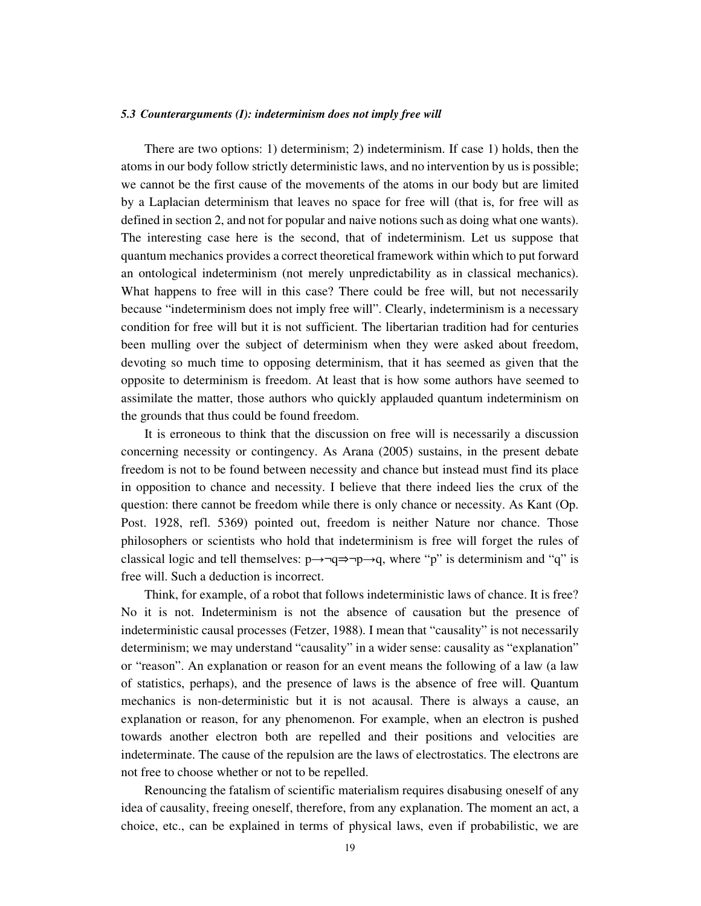#### *5.3 Counterarguments (I): indeterminism does not imply free will*

There are two options: 1) determinism; 2) indeterminism. If case 1) holds, then the atoms in our body follow strictly deterministic laws, and no intervention by us is possible; we cannot be the first cause of the movements of the atoms in our body but are limited by a Laplacian determinism that leaves no space for free will (that is, for free will as defined in section 2, and not for popular and naive notions such as doing what one wants). The interesting case here is the second, that of indeterminism. Let us suppose that quantum mechanics provides a correct theoretical framework within which to put forward an ontological indeterminism (not merely unpredictability as in classical mechanics). What happens to free will in this case? There could be free will, but not necessarily because "indeterminism does not imply free will". Clearly, indeterminism is a necessary condition for free will but it is not sufficient. The libertarian tradition had for centuries been mulling over the subject of determinism when they were asked about freedom, devoting so much time to opposing determinism, that it has seemed as given that the opposite to determinism is freedom. At least that is how some authors have seemed to assimilate the matter, those authors who quickly applauded quantum indeterminism on the grounds that thus could be found freedom.

It is erroneous to think that the discussion on free will is necessarily a discussion concerning necessity or contingency. As Arana (2005) sustains, in the present debate freedom is not to be found between necessity and chance but instead must find its place in opposition to chance and necessity. I believe that there indeed lies the crux of the question: there cannot be freedom while there is only chance or necessity. As Kant (Op. Post. 1928, refl. 5369) pointed out, freedom is neither Nature nor chance. Those philosophers or scientists who hold that indeterminism is free will forget the rules of classical logic and tell themselves:  $p \rightarrow \neg q \Rightarrow \neg p \rightarrow q$ , where "p" is determinism and "q" is free will. Such a deduction is incorrect.

Think, for example, of a robot that follows indeterministic laws of chance. It is free? No it is not. Indeterminism is not the absence of causation but the presence of indeterministic causal processes (Fetzer, 1988). I mean that "causality" is not necessarily determinism; we may understand "causality" in a wider sense: causality as "explanation" or "reason". An explanation or reason for an event means the following of a law (a law of statistics, perhaps), and the presence of laws is the absence of free will. Quantum mechanics is non-deterministic but it is not acausal. There is always a cause, an explanation or reason, for any phenomenon. For example, when an electron is pushed towards another electron both are repelled and their positions and velocities are indeterminate. The cause of the repulsion are the laws of electrostatics. The electrons are not free to choose whether or not to be repelled.

Renouncing the fatalism of scientific materialism requires disabusing oneself of any idea of causality, freeing oneself, therefore, from any explanation. The moment an act, a choice, etc., can be explained in terms of physical laws, even if probabilistic, we are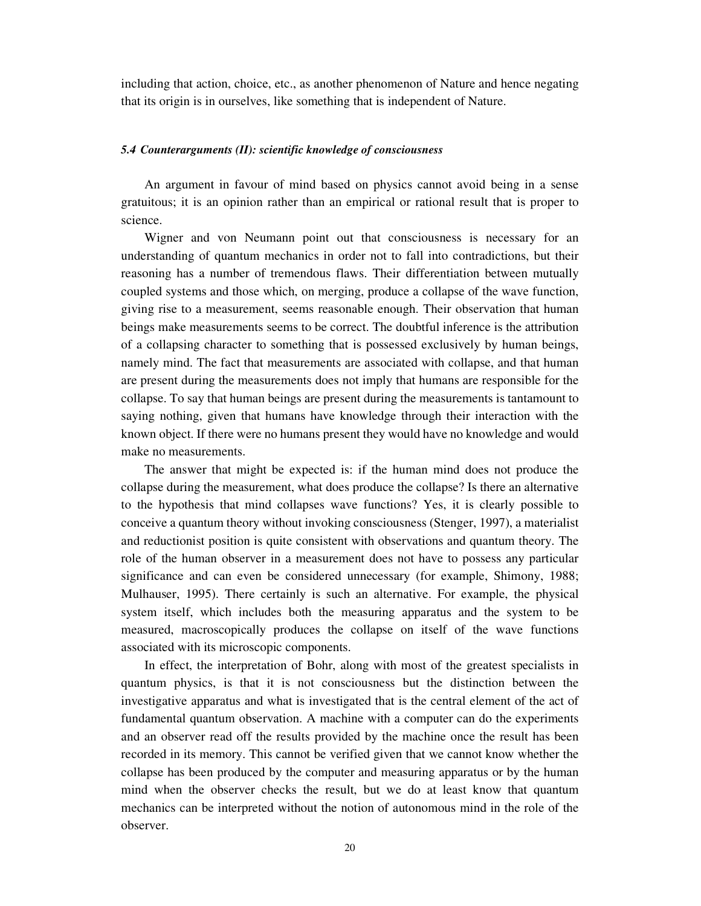including that action, choice, etc., as another phenomenon of Nature and hence negating that its origin is in ourselves, like something that is independent of Nature.

### *5.4 Counterarguments (II): scientific knowledge of consciousness*

An argument in favour of mind based on physics cannot avoid being in a sense gratuitous; it is an opinion rather than an empirical or rational result that is proper to science.

Wigner and von Neumann point out that consciousness is necessary for an understanding of quantum mechanics in order not to fall into contradictions, but their reasoning has a number of tremendous flaws. Their differentiation between mutually coupled systems and those which, on merging, produce a collapse of the wave function, giving rise to a measurement, seems reasonable enough. Their observation that human beings make measurements seems to be correct. The doubtful inference is the attribution of a collapsing character to something that is possessed exclusively by human beings, namely mind. The fact that measurements are associated with collapse, and that human are present during the measurements does not imply that humans are responsible for the collapse. To say that human beings are present during the measurements is tantamount to saying nothing, given that humans have knowledge through their interaction with the known object. If there were no humans present they would have no knowledge and would make no measurements.

The answer that might be expected is: if the human mind does not produce the collapse during the measurement, what does produce the collapse? Is there an alternative to the hypothesis that mind collapses wave functions? Yes, it is clearly possible to conceive a quantum theory without invoking consciousness (Stenger, 1997), a materialist and reductionist position is quite consistent with observations and quantum theory. The role of the human observer in a measurement does not have to possess any particular significance and can even be considered unnecessary (for example, Shimony, 1988; Mulhauser, 1995). There certainly is such an alternative. For example, the physical system itself, which includes both the measuring apparatus and the system to be measured, macroscopically produces the collapse on itself of the wave functions associated with its microscopic components.

In effect, the interpretation of Bohr, along with most of the greatest specialists in quantum physics, is that it is not consciousness but the distinction between the investigative apparatus and what is investigated that is the central element of the act of fundamental quantum observation. A machine with a computer can do the experiments and an observer read off the results provided by the machine once the result has been recorded in its memory. This cannot be verified given that we cannot know whether the collapse has been produced by the computer and measuring apparatus or by the human mind when the observer checks the result, but we do at least know that quantum mechanics can be interpreted without the notion of autonomous mind in the role of the observer.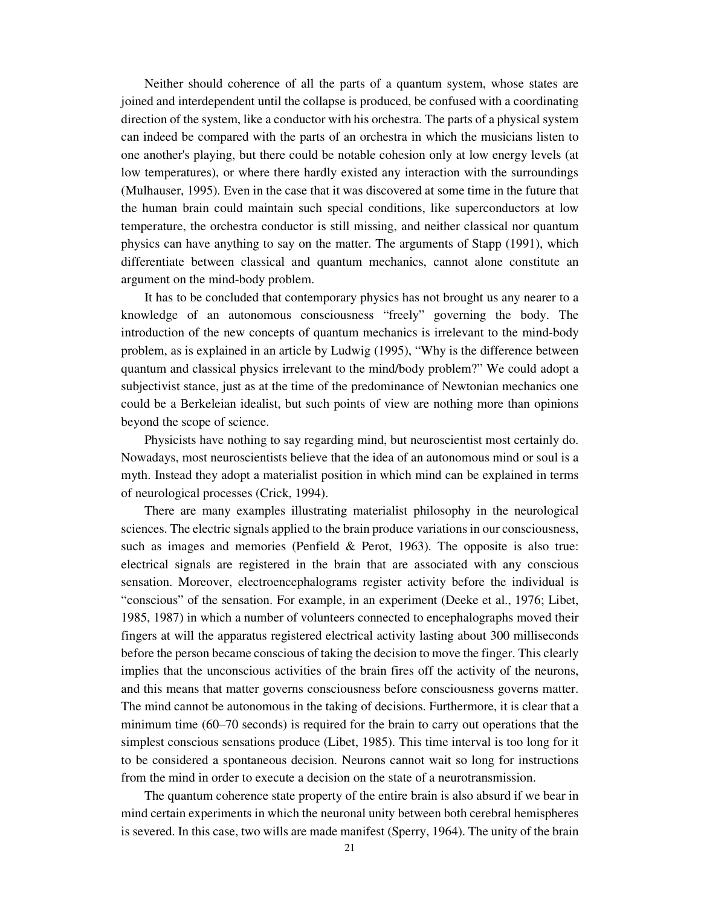Neither should coherence of all the parts of a quantum system, whose states are joined and interdependent until the collapse is produced, be confused with a coordinating direction of the system, like a conductor with his orchestra. The parts of a physical system can indeed be compared with the parts of an orchestra in which the musicians listen to one another's playing, but there could be notable cohesion only at low energy levels (at low temperatures), or where there hardly existed any interaction with the surroundings (Mulhauser, 1995). Even in the case that it was discovered at some time in the future that the human brain could maintain such special conditions, like superconductors at low temperature, the orchestra conductor is still missing, and neither classical nor quantum physics can have anything to say on the matter. The arguments of Stapp (1991), which differentiate between classical and quantum mechanics, cannot alone constitute an argument on the mind-body problem.

It has to be concluded that contemporary physics has not brought us any nearer to a knowledge of an autonomous consciousness "freely" governing the body. The introduction of the new concepts of quantum mechanics is irrelevant to the mind-body problem, as is explained in an article by Ludwig (1995), "Why is the difference between quantum and classical physics irrelevant to the mind/body problem?" We could adopt a subjectivist stance, just as at the time of the predominance of Newtonian mechanics one could be a Berkeleian idealist, but such points of view are nothing more than opinions beyond the scope of science.

Physicists have nothing to say regarding mind, but neuroscientist most certainly do. Nowadays, most neuroscientists believe that the idea of an autonomous mind or soul is a myth. Instead they adopt a materialist position in which mind can be explained in terms of neurological processes (Crick, 1994).

There are many examples illustrating materialist philosophy in the neurological sciences. The electric signals applied to the brain produce variations in our consciousness, such as images and memories (Penfield  $&$  Perot, 1963). The opposite is also true: electrical signals are registered in the brain that are associated with any conscious sensation. Moreover, electroencephalograms register activity before the individual is "conscious" of the sensation. For example, in an experiment (Deeke et al., 1976; Libet, 1985, 1987) in which a number of volunteers connected to encephalographs moved their fingers at will the apparatus registered electrical activity lasting about 300 milliseconds before the person became conscious of taking the decision to move the finger. This clearly implies that the unconscious activities of the brain fires off the activity of the neurons, and this means that matter governs consciousness before consciousness governs matter. The mind cannot be autonomous in the taking of decisions. Furthermore, it is clear that a minimum time (60–70 seconds) is required for the brain to carry out operations that the simplest conscious sensations produce (Libet, 1985). This time interval is too long for it to be considered a spontaneous decision. Neurons cannot wait so long for instructions from the mind in order to execute a decision on the state of a neurotransmission.

The quantum coherence state property of the entire brain is also absurd if we bear in mind certain experiments in which the neuronal unity between both cerebral hemispheres is severed. In this case, two wills are made manifest (Sperry, 1964). The unity of the brain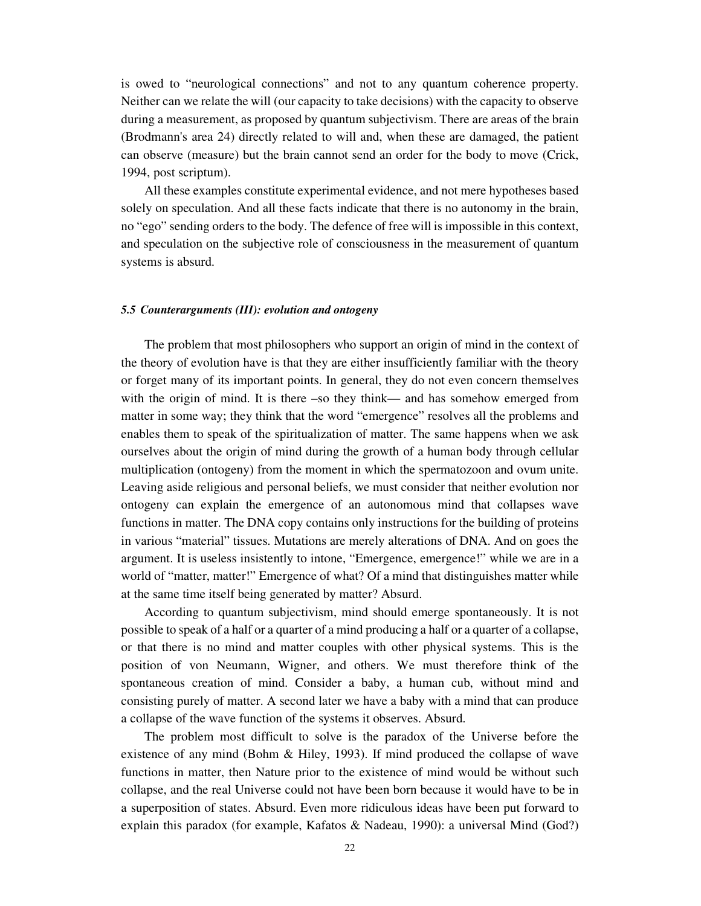is owed to "neurological connections" and not to any quantum coherence property. Neither can we relate the will (our capacity to take decisions) with the capacity to observe during a measurement, as proposed by quantum subjectivism. There are areas of the brain (Brodmann's area 24) directly related to will and, when these are damaged, the patient can observe (measure) but the brain cannot send an order for the body to move (Crick, 1994, post scriptum).

All these examples constitute experimental evidence, and not mere hypotheses based solely on speculation. And all these facts indicate that there is no autonomy in the brain, no "ego" sending orders to the body. The defence of free will is impossible in this context, and speculation on the subjective role of consciousness in the measurement of quantum systems is absurd.

#### *5.5 Counterarguments (III): evolution and ontogeny*

The problem that most philosophers who support an origin of mind in the context of the theory of evolution have is that they are either insufficiently familiar with the theory or forget many of its important points. In general, they do not even concern themselves with the origin of mind. It is there –so they think— and has somehow emerged from matter in some way; they think that the word "emergence" resolves all the problems and enables them to speak of the spiritualization of matter. The same happens when we ask ourselves about the origin of mind during the growth of a human body through cellular multiplication (ontogeny) from the moment in which the spermatozoon and ovum unite. Leaving aside religious and personal beliefs, we must consider that neither evolution nor ontogeny can explain the emergence of an autonomous mind that collapses wave functions in matter. The DNA copy contains only instructions for the building of proteins in various "material" tissues. Mutations are merely alterations of DNA. And on goes the argument. It is useless insistently to intone, "Emergence, emergence!" while we are in a world of "matter, matter!" Emergence of what? Of a mind that distinguishes matter while at the same time itself being generated by matter? Absurd.

According to quantum subjectivism, mind should emerge spontaneously. It is not possible to speak of a half or a quarter of a mind producing a half or a quarter of a collapse, or that there is no mind and matter couples with other physical systems. This is the position of von Neumann, Wigner, and others. We must therefore think of the spontaneous creation of mind. Consider a baby, a human cub, without mind and consisting purely of matter. A second later we have a baby with a mind that can produce a collapse of the wave function of the systems it observes. Absurd.

The problem most difficult to solve is the paradox of the Universe before the existence of any mind (Bohm  $\&$  Hiley, 1993). If mind produced the collapse of wave functions in matter, then Nature prior to the existence of mind would be without such collapse, and the real Universe could not have been born because it would have to be in a superposition of states. Absurd. Even more ridiculous ideas have been put forward to explain this paradox (for example, Kafatos & Nadeau, 1990): a universal Mind (God?)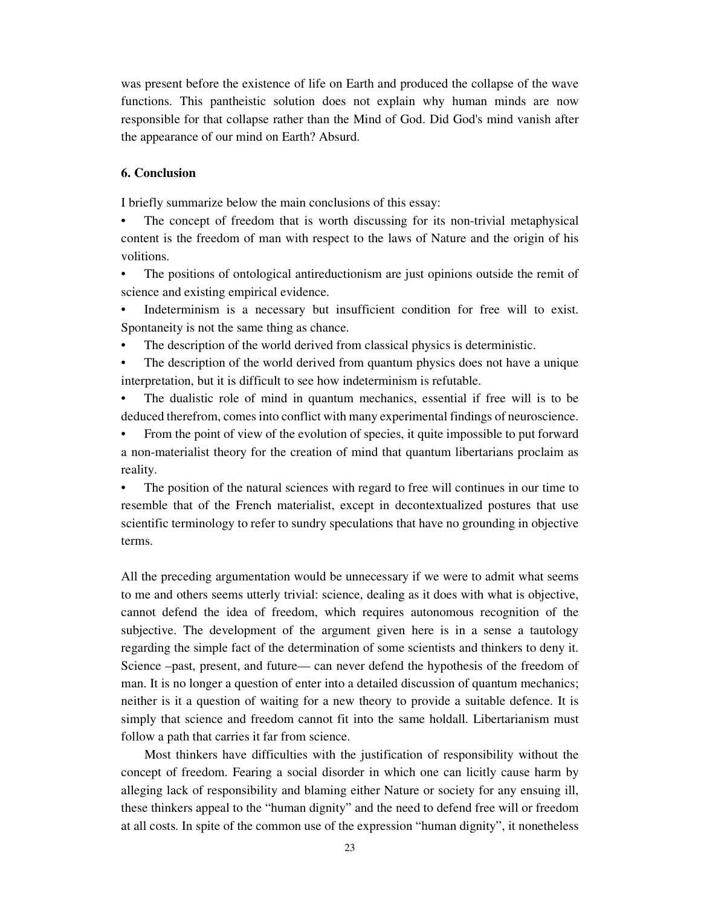was present before the existence of life on Earth and produced the collapse of the wave functions. This pantheistic solution does not explain why human minds are now responsible for that collapse rather than the Mind of God. Did God's mind vanish after the appearance of our mind on Earth? Absurd.

### **6. Conclusion**

I briefly summarize below the main conclusions of this essay:

The concept of freedom that is worth discussing for its non-trivial metaphysical content is the freedom of man with respect to the laws of Nature and the origin of his volitions.

- The positions of ontological antireductionism are just opinions outside the remit of science and existing empirical evidence.
- Indeterminism is a necessary but insufficient condition for free will to exist. Spontaneity is not the same thing as chance.
- The description of the world derived from classical physics is deterministic.

The description of the world derived from quantum physics does not have a unique interpretation, but it is difficult to see how indeterminism is refutable.

• The dualistic role of mind in quantum mechanics, essential if free will is to be deduced therefrom, comes into conflict with many experimental findings of neuroscience.

• From the point of view of the evolution of species, it quite impossible to put forward a non-materialist theory for the creation of mind that quantum libertarians proclaim as reality.

The position of the natural sciences with regard to free will continues in our time to resemble that of the French materialist, except in decontextualized postures that use scientific terminology to refer to sundry speculations that have no grounding in objective terms.

All the preceding argumentation would be unnecessary if we were to admit what seems to me and others seems utterly trivial: science, dealing as it does with what is objective, cannot defend the idea of freedom, which requires autonomous recognition of the subjective. The development of the argument given here is in a sense a tautology regarding the simple fact of the determination of some scientists and thinkers to deny it. Science –past, present, and future— can never defend the hypothesis of the freedom of man. It is no longer a question of enter into a detailed discussion of quantum mechanics; neither is it a question of waiting for a new theory to provide a suitable defence. It is simply that science and freedom cannot fit into the same holdall. Libertarianism must follow a path that carries it far from science.

Most thinkers have difficulties with the justification of responsibility without the concept of freedom. Fearing a social disorder in which one can licitly cause harm by alleging lack of responsibility and blaming either Nature or society for any ensuing ill, these thinkers appeal to the "human dignity" and the need to defend free will or freedom at all costs. In spite of the common use of the expression "human dignity", it nonetheless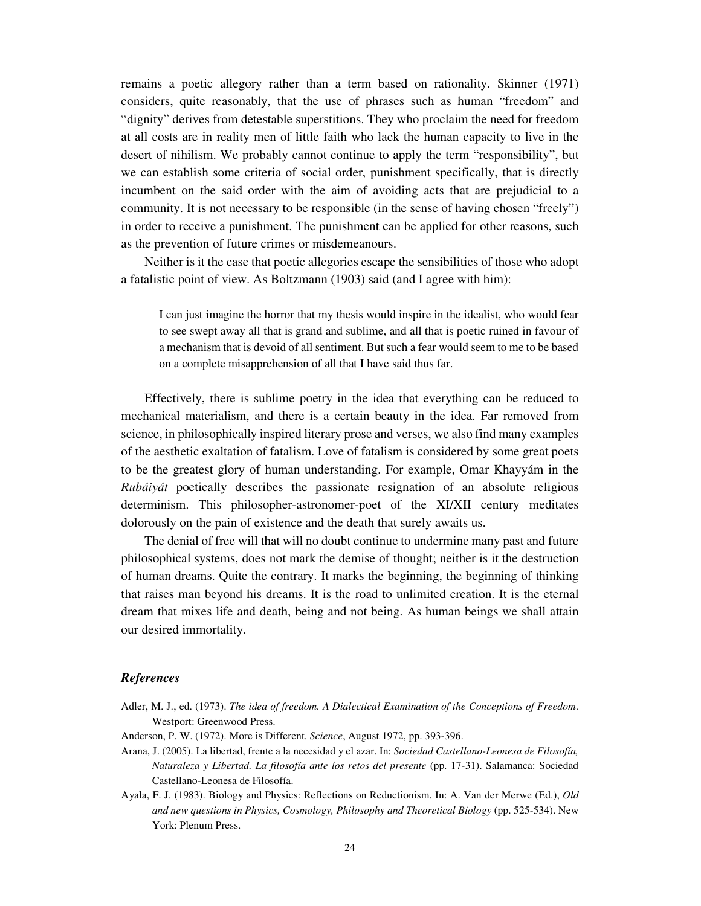remains a poetic allegory rather than a term based on rationality. Skinner (1971) considers, quite reasonably, that the use of phrases such as human "freedom" and "dignity" derives from detestable superstitions. They who proclaim the need for freedom at all costs are in reality men of little faith who lack the human capacity to live in the desert of nihilism. We probably cannot continue to apply the term "responsibility", but we can establish some criteria of social order, punishment specifically, that is directly incumbent on the said order with the aim of avoiding acts that are prejudicial to a community. It is not necessary to be responsible (in the sense of having chosen "freely") in order to receive a punishment. The punishment can be applied for other reasons, such as the prevention of future crimes or misdemeanours.

Neither is it the case that poetic allegories escape the sensibilities of those who adopt a fatalistic point of view. As Boltzmann (1903) said (and I agree with him):

I can just imagine the horror that my thesis would inspire in the idealist, who would fear to see swept away all that is grand and sublime, and all that is poetic ruined in favour of a mechanism that is devoid of all sentiment. But such a fear would seem to me to be based on a complete misapprehension of all that I have said thus far.

Effectively, there is sublime poetry in the idea that everything can be reduced to mechanical materialism, and there is a certain beauty in the idea. Far removed from science, in philosophically inspired literary prose and verses, we also find many examples of the aesthetic exaltation of fatalism. Love of fatalism is considered by some great poets to be the greatest glory of human understanding. For example, Omar Khayyám in the *Rubáiyát* poetically describes the passionate resignation of an absolute religious determinism. This philosopher-astronomer-poet of the XI/XII century meditates dolorously on the pain of existence and the death that surely awaits us.

The denial of free will that will no doubt continue to undermine many past and future philosophical systems, does not mark the demise of thought; neither is it the destruction of human dreams. Quite the contrary. It marks the beginning, the beginning of thinking that raises man beyond his dreams. It is the road to unlimited creation. It is the eternal dream that mixes life and death, being and not being. As human beings we shall attain our desired immortality.

### *References*

- Adler, M. J., ed. (1973). *The idea of freedom. A Dialectical Examination of the Conceptions of Freedom*. Westport: Greenwood Press.
- Anderson, P. W. (1972). More is Different. *Science*, August 1972, pp. 393-396.
- Arana, J. (2005). La libertad, frente a la necesidad y el azar. In: *Sociedad Castellano-Leonesa de Filosofía, Naturaleza y Libertad. La filosofía ante los retos del presente* (pp. 17-31). Salamanca: Sociedad Castellano-Leonesa de Filosofía.
- Ayala, F. J. (1983). Biology and Physics: Reflections on Reductionism. In: A. Van der Merwe (Ed.), *Old and new questions in Physics, Cosmology, Philosophy and Theoretical Biology* (pp. 525-534). New York: Plenum Press.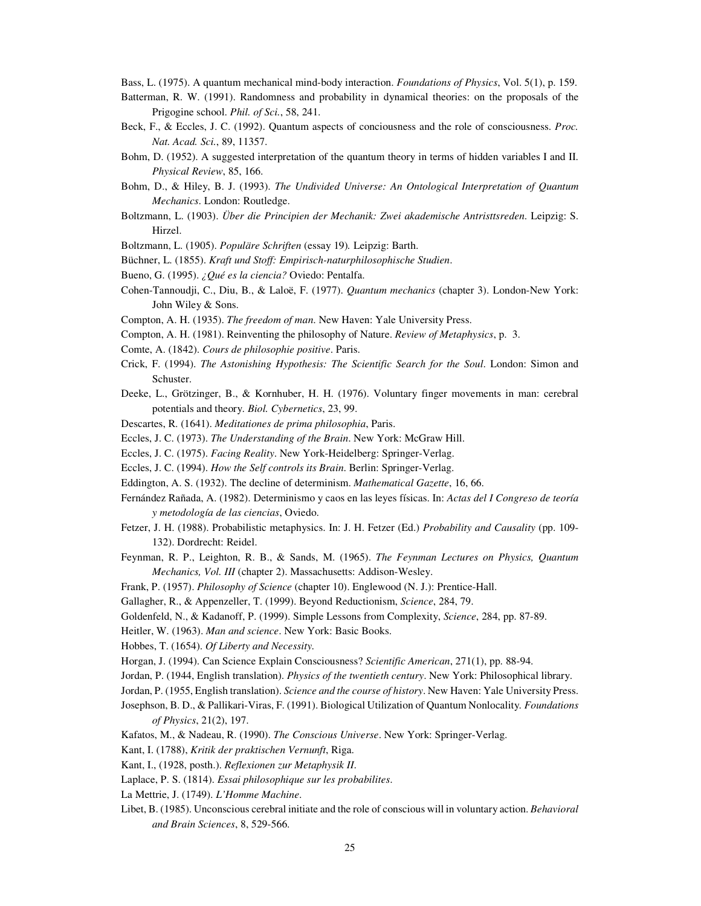Bass, L. (1975). A quantum mechanical mind-body interaction. *Foundations of Physics*, Vol. 5(1), p. 159.

- Batterman, R. W. (1991). Randomness and probability in dynamical theories: on the proposals of the Prigogine school. *Phil. of Sci.*, 58, 241.
- Beck, F., & Eccles, J. C. (1992). Quantum aspects of conciousness and the role of consciousness. *Proc. Nat. Acad. Sci.*, 89, 11357.
- Bohm, D. (1952). A suggested interpretation of the quantum theory in terms of hidden variables I and II. *Physical Review*, 85, 166.
- Bohm, D., & Hiley, B. J. (1993). *The Undivided Universe: An Ontological Interpretation of Quantum Mechanics*. London: Routledge.
- Boltzmann, L. (1903). *Über die Principien der Mechanik: Zwei akademische Antristtsreden*. Leipzig: S. Hirzel.
- Boltzmann, L. (1905). *Populäre Schriften* (essay 19)*.* Leipzig: Barth.
- Büchner, L. (1855). *Kraft und Stoff: Empirisch-naturphilosophische Studien*.
- Bueno, G. (1995). *¿Qué es la ciencia?* Oviedo: Pentalfa.
- Cohen-Tannoudji, C., Diu, B., & Laloë, F. (1977). *Quantum mechanics* (chapter 3). London-New York: John Wiley & Sons.
- Compton, A. H. (1935). *The freedom of man*. New Haven: Yale University Press.
- Compton, A. H. (1981). Reinventing the philosophy of Nature. *Review of Metaphysics*, p. 3.
- Comte, A. (1842). *Cours de philosophie positive*. Paris.
- Crick, F. (1994). *The Astonishing Hypothesis: The Scientific Search for the Soul*. London: Simon and Schuster.
- Deeke, L., Grötzinger, B., & Kornhuber, H. H. (1976). Voluntary finger movements in man: cerebral potentials and theory. *Biol. Cybernetics*, 23, 99.
- Descartes, R. (1641). *Meditationes de prima philosophia*, Paris.
- Eccles, J. C. (1973). *The Understanding of the Brain*. New York: McGraw Hill.
- Eccles, J. C. (1975). *Facing Reality*. New York-Heidelberg: Springer-Verlag.
- Eccles, J. C. (1994). *How the Self controls its Brain*. Berlin: Springer-Verlag.
- Eddington, A. S. (1932). The decline of determinism. *Mathematical Gazette*, 16, 66.
- Fernández Rañada, A. (1982). Determinismo y caos en las leyes físicas. In: *Actas del I Congreso de teoría y metodología de las ciencias*, Oviedo.
- Fetzer, J. H. (1988). Probabilistic metaphysics. In: J. H. Fetzer (Ed.) *Probability and Causality* (pp. 109- 132). Dordrecht: Reidel.
- Feynman, R. P., Leighton, R. B., & Sands, M. (1965). *The Feynman Lectures on Physics, Quantum Mechanics, Vol. III* (chapter 2). Massachusetts: Addison-Wesley.
- Frank, P. (1957). *Philosophy of Science* (chapter 10). Englewood (N. J.): Prentice-Hall.
- Gallagher, R., & Appenzeller, T. (1999). Beyond Reductionism, *Science*, 284, 79.
- Goldenfeld, N., & Kadanoff, P. (1999). Simple Lessons from Complexity, *Science*, 284, pp. 87-89.
- Heitler, W. (1963). *Man and science*. New York: Basic Books.
- Hobbes, T. (1654). *Of Liberty and Necessity.*
- Horgan, J. (1994). Can Science Explain Consciousness? *Scientific American*, 271(1), pp. 88-94.
- Jordan, P. (1944, English translation). *Physics of the twentieth century*. New York: Philosophical library.
- Jordan, P. (1955, English translation). *Science and the course of history*. New Haven: Yale University Press.
- Josephson, B. D., & Pallikari-Viras, F. (1991). Biological Utilization of Quantum Nonlocality*. Foundations of Physics*, 21(2), 197.
- Kafatos, M., & Nadeau, R. (1990). *The Conscious Universe*. New York: Springer-Verlag.
- Kant, I. (1788), *Kritik der praktischen Vernunft*, Riga.
- Kant, I., (1928, posth.). *Reflexionen zur Metaphysik II*.
- Laplace, P. S. (1814). *Essai philosophique sur les probabilites*.

La Mettrie, J. (1749). *L'Homme Machine*.

Libet, B. (1985). Unconscious cerebral initiate and the role of conscious will in voluntary action. *Behavioral and Brain Sciences*, 8, 529-566.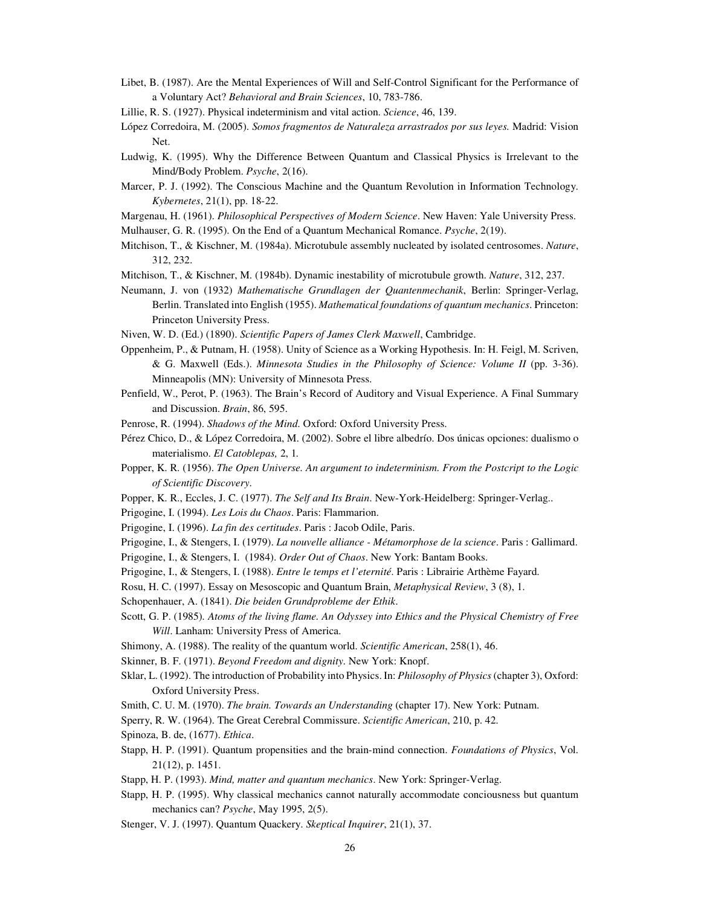- Libet, B. (1987). Are the Mental Experiences of Will and Self-Control Significant for the Performance of a Voluntary Act? *Behavioral and Brain Sciences*, 10, 783-786.
- Lillie, R. S. (1927). Physical indeterminism and vital action. *Science*, 46, 139.
- López Corredoira, M. (2005). *Somos fragmentos de Naturaleza arrastrados por sus leyes.* Madrid: Vision Net.
- Ludwig, K. (1995). Why the Difference Between Quantum and Classical Physics is Irrelevant to the Mind/Body Problem. *Psyche*, 2(16).
- Marcer, P. J. (1992). The Conscious Machine and the Quantum Revolution in Information Technology. *Kybernetes*, 21(1), pp. 18-22.
- Margenau, H. (1961). *Philosophical Perspectives of Modern Science*. New Haven: Yale University Press.
- Mulhauser, G. R. (1995). On the End of a Quantum Mechanical Romance. *Psyche*, 2(19).
- Mitchison, T., & Kischner, M. (1984a). Microtubule assembly nucleated by isolated centrosomes. *Nature*, 312, 232.
- Mitchison, T., & Kischner, M. (1984b). Dynamic inestability of microtubule growth. *Nature*, 312, 237.
- Neumann, J. von (1932) *Mathematische Grundlagen der Quantenmechanik*, Berlin: Springer-Verlag, Berlin. Translated into English (1955). *Mathematical foundations of quantum mechanics*. Princeton: Princeton University Press.
- Niven, W. D. (Ed.) (1890). *Scientific Papers of James Clerk Maxwell*, Cambridge.
- Oppenheim, P., & Putnam, H. (1958). Unity of Science as a Working Hypothesis. In: H. Feigl, M. Scriven, & G. Maxwell (Eds.). *Minnesota Studies in the Philosophy of Science: Volume II* (pp. 3-36). Minneapolis (MN): University of Minnesota Press.
- Penfield, W., Perot, P. (1963). The Brain's Record of Auditory and Visual Experience. A Final Summary and Discussion. *Brain*, 86, 595.
- Penrose, R. (1994). *Shadows of the Mind*. Oxford: Oxford University Press.
- Pérez Chico, D., & López Corredoira, M. (2002). Sobre el libre albedrío. Dos únicas opciones: dualismo o materialismo. *El Catoblepas,* 2, 1*.*
- Popper, K. R. (1956). *The Open Universe. An argument to indeterminism. From the Postcript to the Logic of Scientific Discovery*.
- Popper, K. R., Eccles, J. C. (1977). *The Self and Its Brain*. New-York-Heidelberg: Springer-Verlag..
- Prigogine, I. (1994). *Les Lois du Chaos*. Paris: Flammarion.
- Prigogine, I. (1996). *La fin des certitudes*. Paris : Jacob Odile, Paris.
- Prigogine, I., & Stengers, I. (1979). *La nouvelle alliance Métamorphose de la science*. Paris : Gallimard.
- Prigogine, I., & Stengers, I. (1984). *Order Out of Chaos*. New York: Bantam Books.
- Prigogine, I., & Stengers, I. (1988). *Entre le temps et l'eternité*. Paris : Librairie Arthème Fayard.
- Rosu, H. C. (1997). Essay on Mesoscopic and Quantum Brain, *Metaphysical Review*, 3 (8), 1.
- Schopenhauer, A. (1841). *Die beiden Grundprobleme der Ethik*.
- Scott, G. P. (1985)*. Atoms of the living flame. An Odyssey into Ethics and the Physical Chemistry of Free Will*. Lanham: University Press of America.
- Shimony, A. (1988). The reality of the quantum world. *Scientific American*, 258(1), 46.
- Skinner, B. F. (1971). *Beyond Freedom and dignity*. New York: Knopf.
- Sklar, L. (1992). The introduction of Probability into Physics. In: *Philosophy of Physics* (chapter 3), Oxford: Oxford University Press.
- Smith, C. U. M. (1970). *The brain. Towards an Understanding* (chapter 17). New York: Putnam.
- Sperry, R. W. (1964). The Great Cerebral Commissure. *Scientific American*, 210, p. 42.
- Spinoza, B. de, (1677). *Ethica*.
- Stapp, H. P. (1991). Quantum propensities and the brain-mind connection. *Foundations of Physics*, Vol. 21(12), p. 1451.
- Stapp, H. P. (1993). *Mind, matter and quantum mechanics*. New York: Springer-Verlag.
- Stapp, H. P. (1995). Why classical mechanics cannot naturally accommodate conciousness but quantum mechanics can? *Psyche*, May 1995, 2(5).
- Stenger, V. J. (1997). Quantum Quackery. *Skeptical Inquirer*, 21(1), 37.